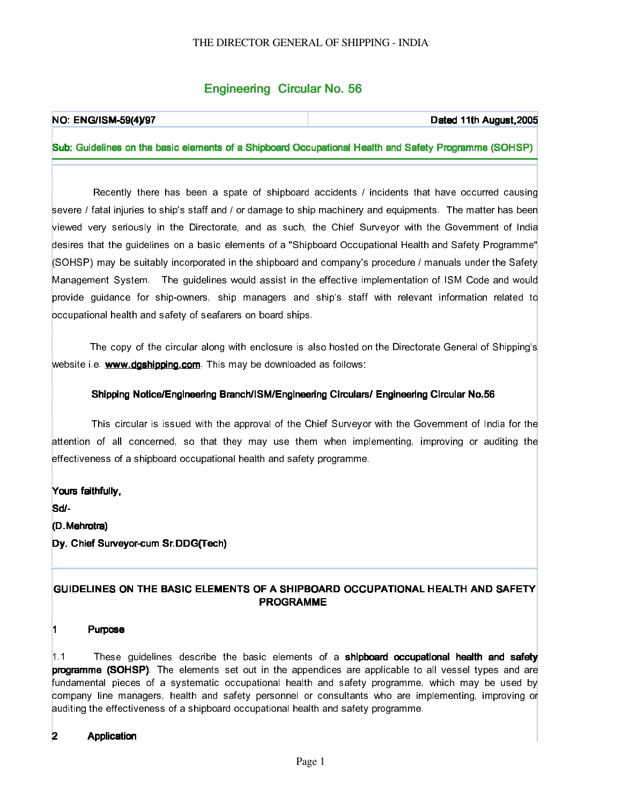## Engineering Circular No. 56

| <b>NO: ENG/ISM-59(4)/97</b> | Dated 11th August, 2005                                                                                |
|-----------------------------|--------------------------------------------------------------------------------------------------------|
|                             |                                                                                                        |
|                             | [Sub: Guidelines on the basic elements of a Shipboard Occupational Health and Safety Programme (SOHSP) |

 Recently there has been a spate of shipboard accidents / incidents that have occurred causing severe / fatal injuries to ship's staff and / or damage to ship machinery and equipments. The matter has been viewed very seriously in the Directorate, and as such, the Chief Surveyor with the Government of India desires that the guidelines on a basic elements of a "Shipboard Occupational Health and Safety Programme" (SOHSP) may be suitably incorporated in the shipboard and company's procedure / manuals under the Safety Management System. The guidelines would assist in the effective implementation of ISM Code and would provide guidance for ship-owners, ship managers and ship's staff with relevant information related to occupational health and safety of seafarers on board ships.

 The copy of the circular along with enclosure is also hosted on the Directorate General of Shipping's website i.e. www.dgshipping.com. This may be downloaded as follows:

#### Shipping Notice/Engineering Branch/ISM/Engineering Circulars/ Engineering Circular No.56

 This circular is issued with the approval of the Chief Surveyor with the Government of India for the attention of all concerned, so that they may use them when implementing, improving or auditing the effectiveness of a shipboard occupational health and safety programme.

Yours faithfully,

Sd/-

(D.Mehrotra)

Dy. Chief Surveyor-cum Sr.DDG(Tech)

### GUIDELINES ON THE BASIC ELEMENTS OF A SHIPBOARD OCCUPATIONAL HEALTH AND SAFETY **PROGRAMME**

#### Purpose

1.1 These guidelines describe the basic elements of a **shipboard occupational health and safety** programme (SOHSP). The elements set out in the appendices are applicable to all vessel types and are fundamental pieces of a systematic occupational health and safety programme, which may be used by company line managers, health and safety personnel or consultants who are implementing, improving or auditing the effectiveness of a shipboard occupational health and safety programme.

### 2 **Application**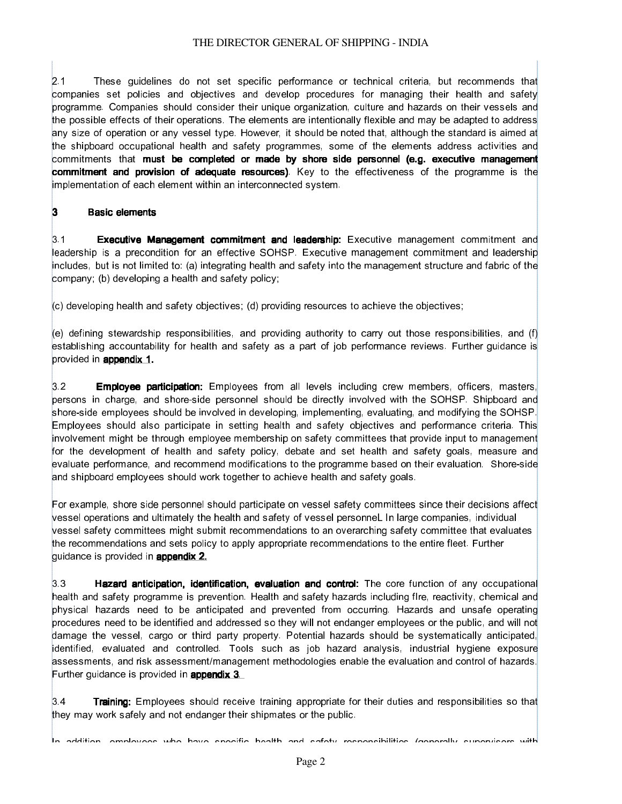2.1 These guidelines do not set specific performance or technical criteria, but recommends that companies set policies and objectives and develop procedures for managing their health and safety programme. Companies should consider their unique organization, culture and hazards on their vessels and the possible effects of their operations. The elements are intentionally flexible and may be adapted to address any size of operation or any vessel type. However, it should be noted that, although the standard is aimed at the shipboard occupational health and safety programmes, some of the elements address activities and commitments that must be completed or made by shore side personnel (e.g. executive management commitment and provision of adequate resources). Key to the effectiveness of the programme is the implementation of each element within an interconnected system.

### 3 Basic elements

3.1 **Executive Management commitment and leadership:** Executive management commitment and leadership is a precondition for an effective SOHSP. Executive management commitment and leadership includes, but is not limited to: (a) integrating health and safety into the management structure and fabric of the company; (b) developing a health and safety policy;

(c) developing health and safety objectives; (d) providing resources to achieve the objectives;

(e) defining stewardship responsibilities, and providing authority to carry out those responsibilities, and (f) establishing accountability for health and safety as a part of job performance reviews. Further guidance is provided in **appendix 1.** 

3.2 **Employee participation:** Employees from all levels including crew members, officers, masters, persons in charge, and shore-side personnel should be directly involved with the SOHSP. Shipboard and shore-side employees should be involved in developing, implementing, evaluating, and modifying the SOHSP. Employees should also participate in setting health and safety objectives and performance criteria. This involvement might be through employee membership on safety committees that provide input to management for the development of health and safety policy, debate and set health and safety goals, measure and evaluate performance, and recommend modifications to the programme based on their evaluation. Shore-side and shipboard employees should work together to achieve health and safety goals.

For example, shore side personnel should participate on vessel safety committees since their decisions affect vessel operations and ultimately the health and safety of vessel personneL In large companies, individual vessel safety committees might submit recommendations to an overarching safety committee that evaluates the recommendations and sets policy to apply appropriate recommendations to the entire fleet. Further guidance is provided in appendix 2.

3.3  **Hazard anticipation, identification, evaluation and control:** The core function of any occupational health and safety programme is prevention. Health and safety hazards including fIre, reactivity, chemical and physical hazards need to be anticipated and prevented from occurring. Hazards and unsafe operating procedures need to be identified and addressed so they will not endanger employees or the public, and will not damage the vessel, cargo or third party property. Potential hazards should be systematically anticipated, identified, evaluated and controlled. Tools such as job hazard analysis, industrial hygiene exposure assessments, and risk assessment/management methodologies enable the evaluation and control of hazards. Further guidance is provided in **appendix 3**.

3.4 **Training:** Employees should receive training appropriate for their duties and responsibilities so that they may work safely and not endanger their shipmates or the public.

In addition, employees who have specific health and safety responsibilities (generally supervisors with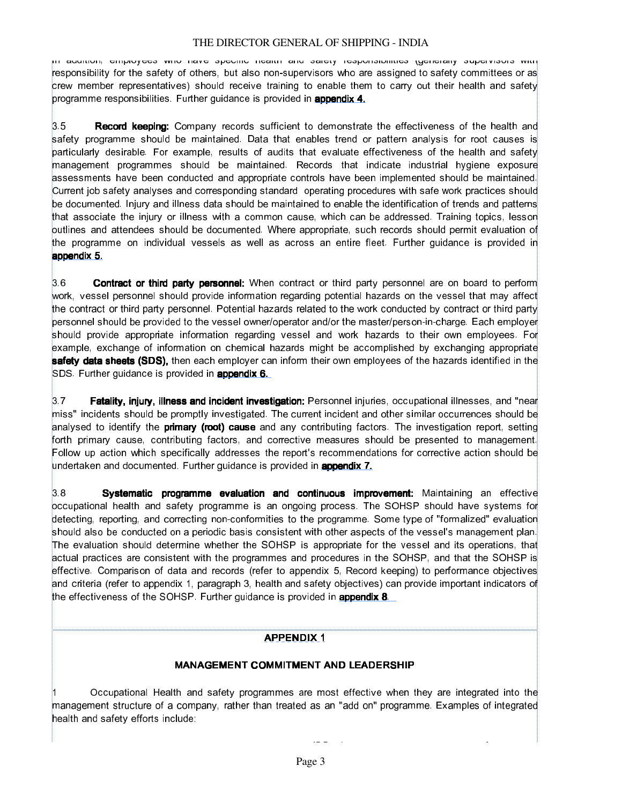In addition, employees who have specific health and safety responsibilities (generally supervisors with responsibility for the safety of others, but also non-supervisors who are assigned to safety committees or as crew member representatives) should receive training to enable them to carry out their health and safety programme responsibilities. Further guidance is provided in **appendix 4.** 

3.5  **Record keeping:** Company records sufficient to demonstrate the effectiveness of the health and safety programme should be maintained. Data that enables trend or pattern analysis for root causes is particularly desirable. For example, results of audits that evaluate effectiveness of the health and safety management programmes should be maintained. Records that indicate industrial hygiene exposure assessments have been conducted and appropriate controls have been implemented should be maintained. Current job safety analyses and corresponding standard operating procedures with safe work practices should be documented. Injury and illness data should be maintained to enable the identification of trends and patterns that associate the injury or illness with a common cause, which can be addressed. Training topics, lesson outlines and attendees should be documented. Where appropriate, such records should permit evaluation of the programme on individual vessels as well as across an entire fleet. Further guidance is provided in appendix 5.

3.6  **Contract or third party personnel:** When contract or third party personnel are on board to perform work, vessel personnel should provide information regarding potential hazards on the vessel that may affect the contract or third party personnel. Potential hazards related to the work conducted by contract or third party personnel should be provided to the vessel owner/operator and/or the master/person-in-charge. Each employer should provide appropriate information regarding vessel and work hazards to their own employees. For example, exchange of information on chemical hazards might be accomplished by exchanging appropriate safety data sheets (SDS), then each employer can inform their own employees of the hazards identified in the SDS. Further guidance is provided in **appendix 6.** 

3.7  **Fatality, injury, illness and incident investigation:** Personnel injuries, occupational illnesses, and "near miss" incidents should be promptly investigated. The current incident and other similar occurrences should be analysed to identify the **primary (root) cause** and any contributing factors. The investigation report, setting forth primary cause, contributing factors, and corrective measures should be presented to management. Follow up action which specifically addresses the report's recommendations for corrective action should be undertaken and documented. Further guidance is provided in **appendix 7.** 

 $3.8$  **Systematic programme evaluation and continuous improvement:** Maintaining an effective occupational health and safety programme is an ongoing process. The SOHSP should have systems for detecting, reporting, and correcting non-conformities to the programme. Some type of "formalized" evaluation should also be conducted on a periodic basis consistent with other aspects of the vessel's management plan. The evaluation should determine whether the SOHSP is appropriate for the vessel and its operations, that actual practices are consistent with the programmes and procedures in the SOHSP, and that the SOHSP is effective. Comparison of data and records (refer to appendix 5, Record keeping) to performance objectives and criteria (refer to appendix 1, paragraph 3, health and safety objectives) can provide important indicators of the effectiveness of the SOHSP. Further guidance is provided in **appendix 8**.

#### APPENDIX 1

#### MANAGEMENT COMMITMENT AND LEADERSHIP

Occupational Health and safety programmes are most effective when they are integrated into the management structure of a company, rather than treated as an "add on" programme. Examples of integrated health and safety efforts include: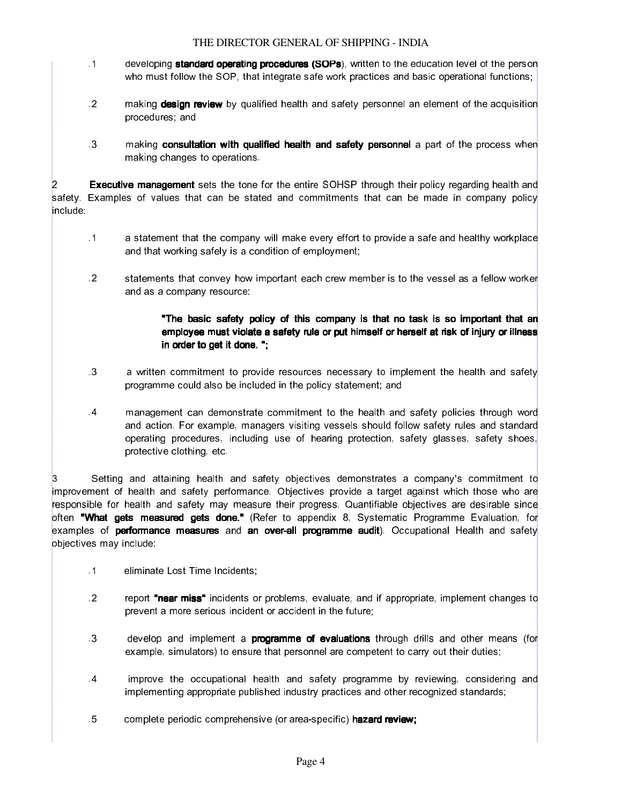- .1 developing **standard operating procedures (SOPs)**, written to the education level of the person who must follow the SOP, that integrate safe work practices and basic operational functions;
- .2  **making design review** by qualified health and safety personnel an element of the acquisition procedures; and
- .3 **I making consultation with qualified health and safety personnel** a part of the process when making changes to operations.

**Executive management** sets the tone for the entire SOHSP through their policy regarding health and safety. Examples of values that can be stated and commitments that can be made in company policy include:

- .1 a statement that the company will make every effort to provide a safe and healthy workplace and that working safely is a condition of employment;
- .2  $\cdot$  statements that convey how important each crew member is to the vessel as a fellow worker and as a company resource:

### "The basic safety policy of this company is that no task is so important that an employee must violate a safety rule or put himself or herself at risk of injury or illness in order to get it done. ";

- .3  **a** written commitment to provide resources necessary to implement the health and safety programme could also be included in the policy statement; and
- .4 management can demonstrate commitment to the health and safety policies through word and action. For example, managers visiting vessels should follow safety rules and standard operating procedures, including use of hearing protection, safety glasses, safety shoes, protective clothing, etc.

3 Setting and attaining health and safety objectives demonstrates a company's commitment to improvement of health and safety performance. Objectives provide a target against which those who are responsible for health and safety may measure their progress. Quantifiable objectives are desirable since often **"What gets measured gets done."** (Refer to appendix 8, Systematic Programme Evaluation, for examples of **performance measures** and **an over-all programme audit**). Occupational Health and safety objectives may include:

- .1 eliminate Lost Time Incidents;
- .2 report "near miss" incidents or problems, evaluate, and if appropriate, implement changes to prevent a more serious incident or accident in the future;
- .3  **develop and implement a programme of evaluations** through drills and other means (for example, simulators) to ensure that personnel are competent to carry out their duties;
- .4 improve the occupational health and safety programme by reviewing, considering and implementing appropriate published industry practices and other recognized standards;
- .5 complete periodic comprehensive (or area-specific) hazard review;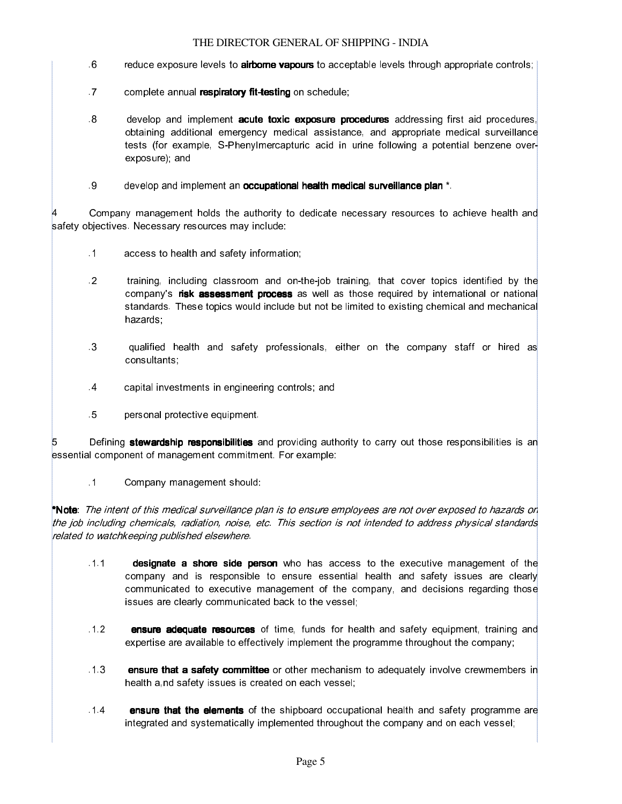- .6 reduce exposure levels to **airborne vapours** to acceptable levels through appropriate controls;
- .7 complete annual respiratory fit-testing on schedule;
- .8 develop and implement acute toxic exposure procedures addressing first aid procedures, obtaining additional emergency medical assistance, and appropriate medical surveillance tests (for example, S-Phenylmercapturic acid in urine following a potential benzene overexposure); and
- .9 develop and implement an occupational health medical surveillance plan \*.

Company management holds the authority to dedicate necessary resources to achieve health and safety objectives. Necessary resources may include:

- .1 access to health and safety information;
- .2 training, including classroom and on-the-job training, that cover topics identified by the company's risk assessment process as well as those required by international or national standards. These topics would include but not be limited to existing chemical and mechanical hazards;
- .3 qualified health and safety professionals, either on the company staff or hired as consultants;
- .4 capital investments in engineering controls; and
- .5 personal protective equipment.

5 **Burno External Stewardship responsibilities** and providing authority to carry out those responsibilities is an essential component of management commitment. For example:

.1 Company management should:

\*Note: The intent of this medical surveillance plan is to ensure employees are not over exposed to hazards on the job including chemicals, radiation, noise, etc. This section is not intended to address physical standards related to watchkeeping published elsewhere.

- .1.1  **designate a shore side person** who has access to the executive management of the company and is responsible to ensure essential health and safety issues are clearly communicated to executive management of the company, and decisions regarding those issues are clearly communicated back to the vessel;
- .1.2  **ensure adequate resources** of time, funds for health and safety equipment, training and expertise are available to effectively implement the programme throughout the company;
- 1.3  **ensure that a safety committee** or other mechanism to adequately involve crewmembers in health a,nd safety issues is created on each vessel;
- .1.4 ensure that the elements of the shipboard occupational health and safety programme are integrated and systematically implemented throughout the company and on each vessel;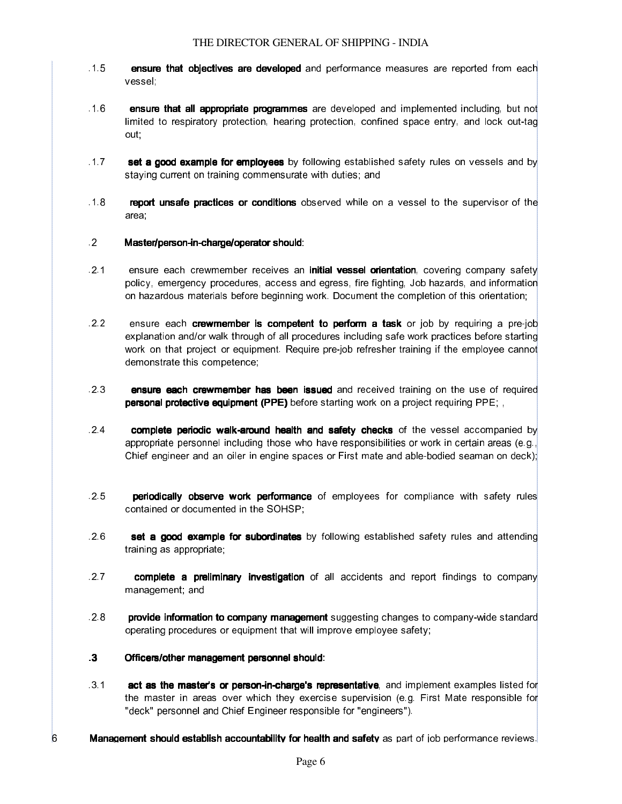- .1.5  **ensure that objectives are developed** and performance measures are reported from each vessel;
- .1.6 ensure that all appropriate programmes that all appropriate programmes are developed and implemented including, but not limited to respiratory protection, hearing protection, confined space entry, and lock out-tag out;
- .1.7  **set a good example for employees** by following established safety rules on vessels and by staying current on training commensurate with duties; and
- .1.8  **report unsafe practices or conditions** observed while on a vessel to the supervisor of the area;
- .2 **Master/person-in-charge/operator should:**
- .2.1 ensure each crewmember receives an initial vessel orientation, covering company safety policy, emergency procedures, access and egress, fire fighting, Job hazards, and information on hazardous materials before beginning work. Document the completion of this orientation;
- .2.2 ensure each **crewmember is competent to perform a task** or job by requiring a pre-job explanation and/or walk through of all procedures including safe work practices before starting work on that project or equipment. Require pre-job refresher training if the employee cannot demonstrate this competence;
- 2.3  **ensure each crewmember has been issued** and received training on the use of required personal protective equipment (PPE) before starting work on a project requiring PPE; ,
- .2.4  **complete periodic walk-around health and safety checks** of the vessel accompanied by appropriate personnel including those who have responsibilities or work in certain areas (e.g., Chief engineer and an oiler in engine spaces or First mate and able-bodied seaman on deck);
- .2.5  **periodically observe work performance** of employees for compliance with safety rules contained or documented in the SOHSP;
- .2.6  **set a good example for subordinates** by following established safety rules and attending training as appropriate;
- .2.7 **complete a preliminary investigation** of all accidents and report findings to company management; and
- 2.8  **provide information to company management** suggesting changes to company-wide standard operating procedures or equipment that will improve employee safety;
- .3 Officers/other management personnel should:
- .3.1 **act as the master's or person-in-charge's representative**, and implement examples listed for the master in areas over which they exercise supervision (e.g. First Mate responsible for "deck" personnel and Chief Engineer responsible for "engineers").
- 6 **Management should establish accountability for health and safety** as part of job performance reviews.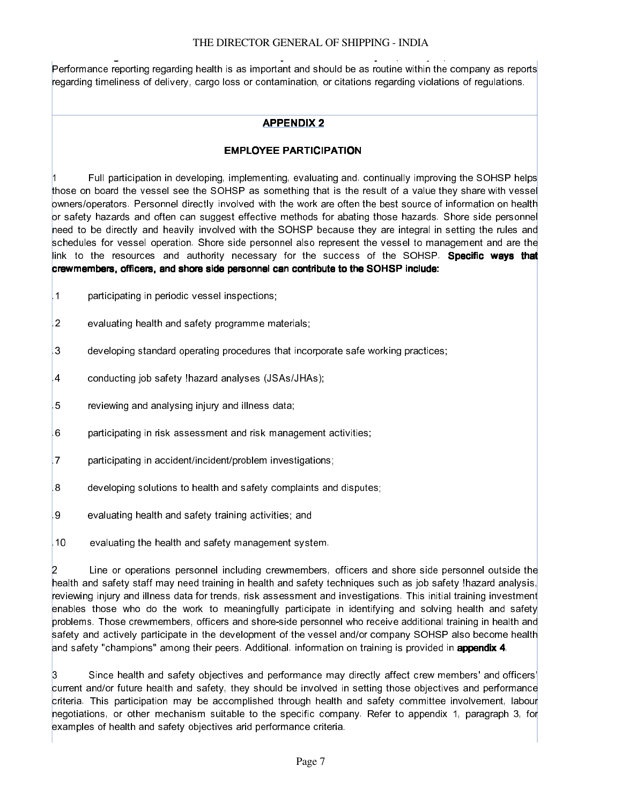Performance reporting regarding health is as important and should be as routine within the company as reports regarding timeliness of delivery, cargo loss or contamination, or citations regarding violations of regulations.

### **APPENDIX 2**

### EMPLOYEE PARTICIPATION

Full participation in developing, implementing, evaluating and. continually improving the SOHSP helps those on board the vessel see the SOHSP as something that is the result of a value they share with vessel owners/operators. Personnel directly involved with the work are often the best source of information on health or safety hazards and often can suggest effective methods for abating those hazards. Shore side personnel need to be directly and heavily involved with the SOHSP because they are integral in setting the rules and schedules for vessel operation. Shore side personnel also represent the vessel to management and are the link to the resources and authority necessary for the success of the SOHSP. Specific ways that crewmembers, officers, and shore side personnel can contribute to the SOHSP include:

- .1 participating in periodic vessel inspections;
- .2 evaluating health and safety programme materials;
- .3 developing standard operating procedures that incorporate safe working practices;
- .4 conducting job safety !hazard analyses (JSAs/JHAs);
- .5 reviewing and analysing injury and illness data;
- .6 participating in risk assessment and risk management activities;
- .7 participating in accident/incident/problem investigations;
- .8 developing solutions to health and safety complaints and disputes;
- .9 evaluating health and safety training activities; and
- .10 evaluating the health and safety management system.

2 Line or operations personnel including crewmembers, officers and shore side personnel outside the health and safety staff may need training in health and safety techniques such as job safety !hazard analysis, reviewing injury and illness data for trends, risk assessment and investigations. This initial training investment enables those who do the work to meaningfully participate in identifying and solving health and safety problems. Those crewmembers, officers and shore-side personnel who receive additional training in health and safety and actively participate in the development of the vessel and/or company SOHSP also become health and safety "champions" among their peers. Additional. information on training is provided in appendix 4.

3 Since health and safety objectives and performance may directly affect crew members' and officers' current and/or future health and safety, they should be involved in setting those objectives and performance criteria. This participation may be accomplished through health and safety committee involvement, labour negotiations, or other mechanism suitable to the specific company. Refer to appendix 1, paragraph 3, for examples of health and safety objectives arid performance criteria.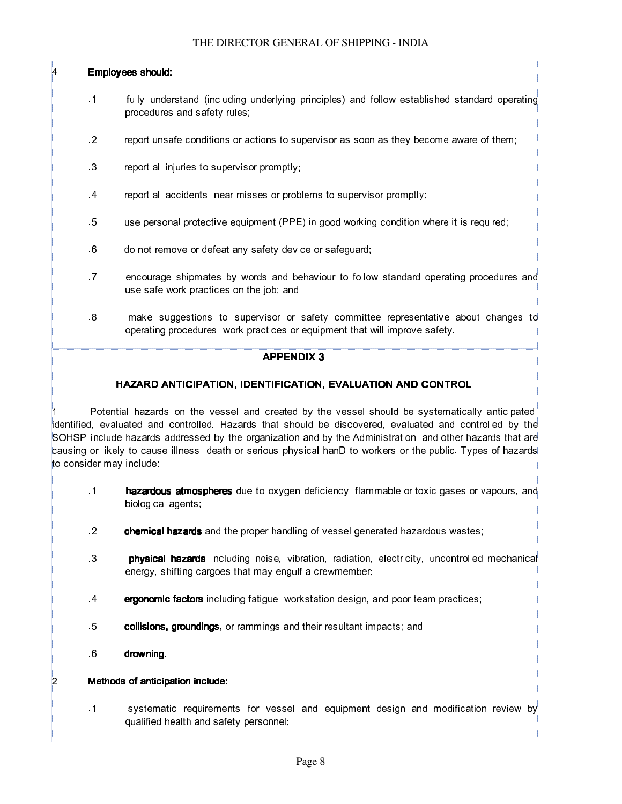### Employees should:

- .1 fully understand (including underlying principles) and follow established standard operating procedures and safety rules;
- .2 report unsafe conditions or actions to supervisor as soon as they become aware of them;
- .3 report all injuries to supervisor promptly;
- .4 report all accidents, near misses or problems to supervisor promptly;
- .5 use personal protective equipment (PPE) in good working condition where it is required;
- .6 do not remove or defeat any safety device or safeguard;
- .7 encourage shipmates by words and behaviour to follow standard operating procedures and use safe work practices on the job; and
- .8 make suggestions to supervisor or safety committee representative about changes to operating procedures, work practices or equipment that will improve safety.

#### APPENDIX 3

### HAZARD ANTICIPATION, IDENTIFICATION, EVALUATION AND CONTROL

Potential hazards on the vessel and created by the vessel should be systematically anticipated, identified, evaluated and controlled. Hazards that should be discovered, evaluated and controlled by the SOHSP include hazards addressed by the organization and by the Administration, and other hazards that are causing or likely to cause illness, death or serious physical hanD to workers or the public. Types of hazards to consider may include:

- .1 **hazardous atmospheres** due to oxygen deficiency, flammable or toxic gases or vapours, and biological agents;
- .2 **chemical hazards** and the proper handling of vessel generated hazardous wastes;
- .3  **physical hazards** including noise, vibration, radiation, electricity, uncontrolled mechanical energy, shifting cargoes that may engulf a crewmember;
- .4  **ergonomic factors** including fatigue, workstation design, and poor team practices;
- .5 **collisions, groundings**, or rammings and their resultant impacts; and
- .6 drowning.

#### 2. Methods of anticipation include:

.1 systematic requirements for vessel and equipment design and modification review by qualified health and safety personnel;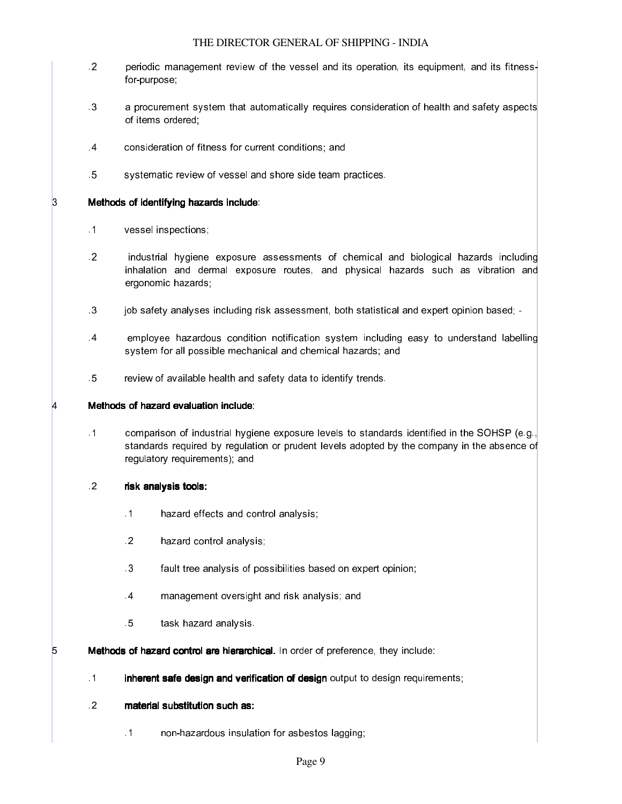- .2 periodic management review of the vessel and its operation, its equipment, and its fitnessfor-purpose;
- .3 a procurement system that automatically requires consideration of health and safety aspects of items ordered;
- .4 consideration of fitness for current conditions; and
- .5 systematic review of vessel and shore side team practices.

#### 3 Methods of identifying hazards include:

- .1 vessel inspections;
- .2 industrial hygiene exposure assessments of chemical and biological hazards including inhalation and dermal exposure routes, and physical hazards such as vibration and ergonomic hazards;
- .3 job safety analyses including risk assessment, both statistical and expert opinion based; -
- .4 employee hazardous condition notification system including easy to understand labelling system for all possible mechanical and chemical hazards; and
- .5 review of available health and safety data to identify trends.

#### $4 \qquad$  Methods of hazard evaluation include:

.1 comparison of industrial hygiene exposure levels to standards identified in the SOHSP (e.g., standards required by regulation or prudent levels adopted by the company in the absence of regulatory requirements); and

#### .2 risk analysis tools:

- .1 hazard effects and control analysis;
- .2 hazard control analysis;
- .3 fault tree analysis of possibilities based on expert opinion;
- .4 management oversight and risk analysis; and
- .5 task hazard analysis.

**5 Methods of hazard control are hierarchical.** In order of preference, they include:

- .1 **Inherent safe design and verification of design** output to design requirements;
- .2 material substitution such as:
	- .1 non-hazardous insulation for asbestos lagging;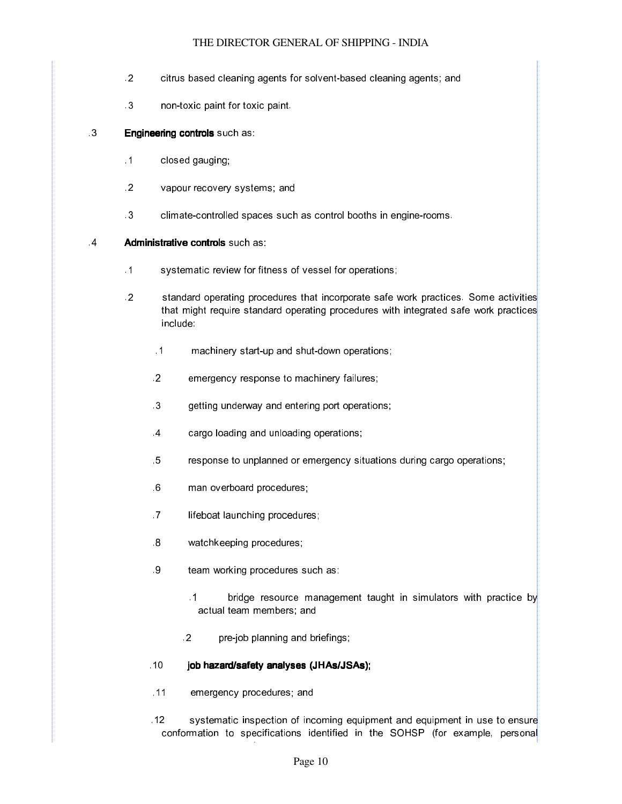- .2 citrus based cleaning agents for solvent-based cleaning agents; and
- .3 non-toxic paint for toxic paint.

### .3 **Engineering controls** such as:

- .1 closed gauging;
- .2 vapour recovery systems; and
- .3 climate-controlled spaces such as control booths in engine-rooms.

### **4 Administrative controls** such as:

- .1 systematic review for fitness of vessel for operations;
- .2 standard operating procedures that incorporate safe work practices. Some activities that might require standard operating procedures with integrated safe work practices include:
	- .1 machinery start-up and shut-down operations;
	- .2 emergency response to machinery failures;
	- .3 getting underway and entering port operations;
	- .4 cargo loading and unloading operations;
	- .5 response to unplanned or emergency situations during cargo operations;
	- .6 man overboard procedures;
	- .7 **Iifeboat launching procedures;**
	- .8 watchkeeping procedures;
	- .9 team working procedures such as:
		- .1 **bridge resource management taught in simulators with practice by** actual team members; and
		- .2 pre-job planning and briefings;

#### .10 **job hazard/safety analyses (JHAs/JSAs);**

- .11 emergency procedures; and
- .12 systematic inspection of incoming equipment and equipment in use to ensure conformation to specifications identified in the SOHSP (for example, personal protective equipment). The equipment of the set of  $\mathcal{P}_\text{c}$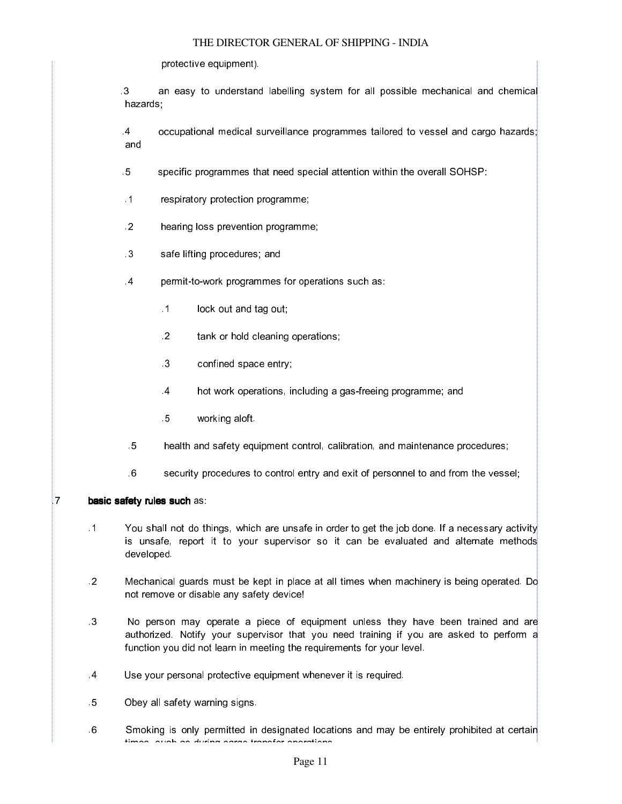protective equipment).

 .3 an easy to understand labelling system for all possible mechanical and chemical hazards;

 .4 occupational medical surveillance programmes tailored to vessel and cargo hazards; and

.5 specific programmes that need special attention within the overall SOHSP:

- .1 respiratory protection programme;
- .2 hearing loss prevention programme;
- .3 safe lifting procedures; and
- .4 permit-to-work programmes for operations such as:
	- .1 lock out and tag out;
	- .2 tank or hold cleaning operations;
	- .3 confined space entry;
	- .4 hot work operations, including a gas-freeing programme; and
	- .5 working aloft.
- .5 health and safety equipment control, calibration, and maintenance procedures;
- .6 security procedures to control entry and exit of personnel to and from the vessel;

#### **basic safety rules such as:**

- .1 You shall not do things, which are unsafe in order to get the job done. If a necessary activity is unsafe, report it to your supervisor so it can be evaluated and alternate methods developed.
- .2 Mechanical guards must be kept in place at all times when machinery is being operated. Do not remove or disable any safety device!
- .3 No person may operate a piece of equipment unless they have been trained and are authorized. Notify your supervisor that you need training if you are asked to perform a function you did not learn in meeting the requirements for your level.
- .4 Use your personal protective equipment whenever it is required.
- .5 Obey all safety warning signs.
- .6 Smoking is only permitted in designated locations and may be entirely prohibited at certain times, such as during cargo transfer operations.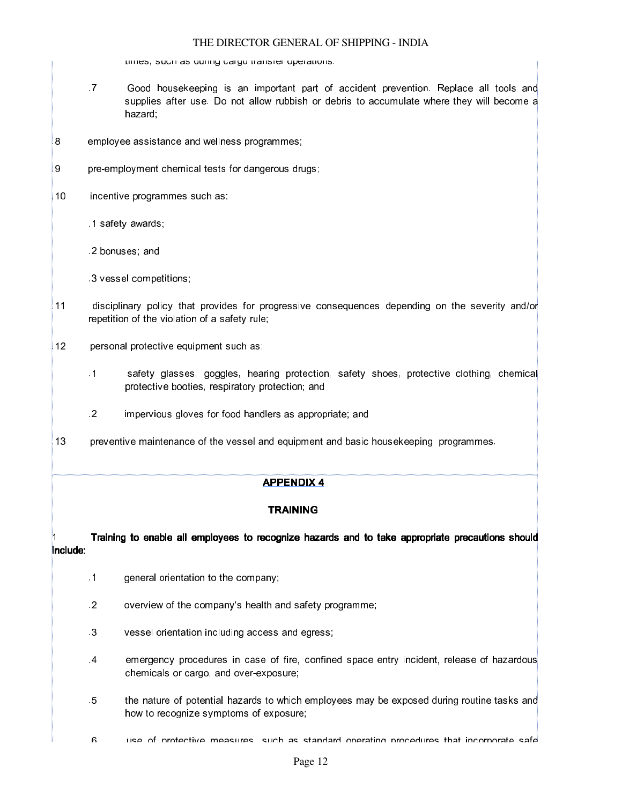times, such as during cargo transfer operations.

- .7 Good housekeeping is an important part of accident prevention. Replace all tools and supplies after use. Do not allow rubbish or debris to accumulate where they will become a hazard;
- .8 employee assistance and wellness programmes;
- .9 pre-employment chemical tests for dangerous drugs;
- .10 incentive programmes such as:
	- .1 safety awards;
	- .2 bonuses; and
	- .3 vessel competitions;
- .11 disciplinary policy that provides for progressive consequences depending on the severity and/or repetition of the violation of a safety rule;
- .12 personal protective equipment such as:
	- .1 safety glasses, goggles, hearing protection, safety shoes, protective clothing, chemical protective booties, respiratory protection; and
	- .2 impervious gloves for food handlers as appropriate; and
- 13 preventive maintenance of the vessel and equipment and basic housekeeping programmes.

#### APPENDIX 4

#### **TRAINING**

1 Training to enable all employees to recognize hazards and to take appropriate precautions should include:

- .1 general orientation to the company;
- .2 overview of the company's health and safety programme;
- .3 vessel orientation including access and egress;
- .4 emergency procedures in case of fire, confined space entry incident, release of hazardous chemicals or cargo, and over-exposure;
- .5 the nature of potential hazards to which employees may be exposed during routine tasks and how to recognize symptoms of exposure;
- .6 use of protective measures, such as standard operating procedures that incorporate safe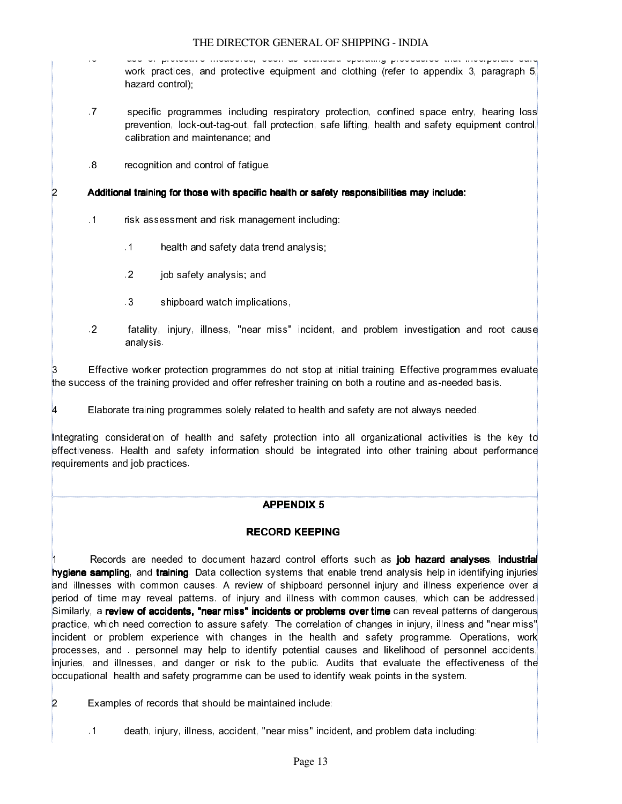- .6 use of protective measures, such as standard operating procedures that incorporate safe work practices, and protective equipment and clothing (refer to appendix 3, paragraph 5, hazard control);
- .7 specific programmes including respiratory protection, confined space entry, hearing loss prevention, lock-out-tag-out, fall protection, safe lifting, health and safety equipment control, calibration and maintenance; and
- .8 recognition and control of fatigue.

### 2 Additional training for those with specific health or safety responsibilities may include:

- .1 risk assessment and risk management including:
	- .1 health and safety data trend analysis;
	- .2 job safety analysis; and
	- .3 shipboard watch implications,
- .2 fatality, injury, illness, "near miss" incident, and problem investigation and root cause analysis.

Effective worker protection programmes do not stop at initial training. Effective programmes evaluate the success of the training provided and offer refresher training on both a routine and as-needed basis.

4 Elaborate training programmes solely related to health and safety are not always needed.

Integrating consideration of health and safety protection into all organizational activities is the key to effectiveness. Health and safety information should be integrated into other training about performance requirements and job practices.

### APPENDIX 5

### RECORD KEEPING

Records are needed to document hazard control efforts such as job hazard analyses, industrial hygiene sampling, and training. Data collection systems that enable trend analysis help in identifying injuries and illnesses with common causes. A review of shipboard personnel injury and illness experience over a period of time may reveal patterns. of injury and illness with common causes, which can be addressed. Similarly, a review of accidents, "near miss" incidents or problems over time can reveal patterns of dangerous practice, which need correction to assure safety. The correlation of changes in injury, illness and "near miss" incident or problem experience with changes in the health and safety programme. Operations, work processes, and . personnel may help to identify potential causes and likelihood of personnel accidents, injuries, and illnesses, and danger or risk to the public. Audits that evaluate the effectiveness of the occupational health and safety programme can be used to identify weak points in the system.

2 Examples of records that should be maintained include:

.1 death, injury, illness, accident, "near miss" incident, and problem data including: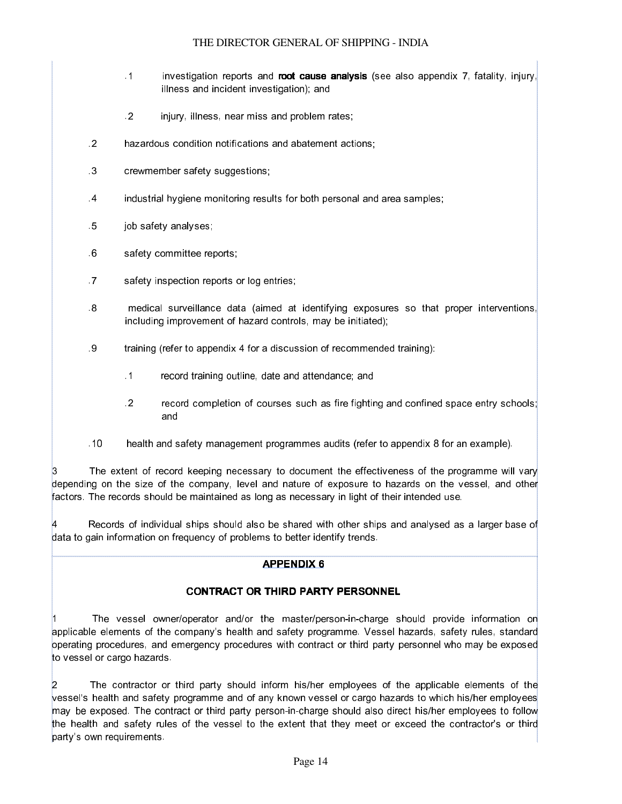- .1 **investigation reports and root cause analysis** (see also appendix 7, fatality, injury, illness and incident investigation); and
- .2 injury, illness, near miss and problem rates;
- .2 hazardous condition notifications and abatement actions;
- .3 crewmember safety suggestions;
- .4 industrial hygiene monitoring results for both personal and area samples;
- .5 job safety analyses;
- .6 safety committee reports;
- .7 safety inspection reports or log entries;
- .8 medical surveillance data (aimed at identifying exposures so that proper interventions, including improvement of hazard controls, may be initiated);
- .9 training (refer to appendix 4 for a discussion of recommended training):
	- .1 record training outline, date and attendance; and
	- .2 record completion of courses such as fire fighting and confined space entry schools; and
- .10 health and safety management programmes audits (refer to appendix 8 for an example).

The extent of record keeping necessary to document the effectiveness of the programme will vary depending on the size of the company, level and nature of exposure to hazards on the vessel, and other factors. The records should be maintained as long as necessary in light of their intended use.

Records of individual ships should also be shared with other ships and analysed as a larger base of data to gain information on frequency of problems to better identify trends.

#### APPENDIX 6

### CONTRACT OR THIRD PARTY PERSONNEL

The vessel owner/operator and/or the master/person-in-charge should provide information on applicable elements of the company's health and safety programme. Vessel hazards, safety rules, standard operating procedures, and emergency procedures with contract or third party personnel who may be exposed to vessel or cargo hazards.

The contractor or third party should inform his/her employees of the applicable elements of the vessel's health and safety programme and of any known vessel or cargo hazards to which his/her employees may be exposed. The contract or third party person-in-charge should also direct his/her employees to follow the health and safety rules of the vessel to the extent that they meet or exceed the contractor's or third party's own requirements.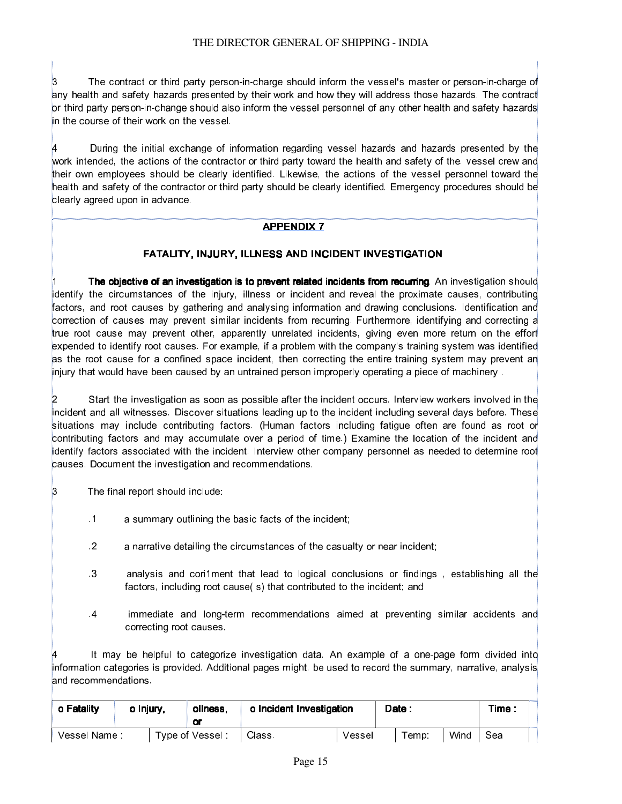3 The contract or third party person-in-charge should inform the vessel's master or person-in-charge of any health and safety hazards presented by their work and how they will address those hazards. The contract or third party person-in-change should also inform the vessel personnel of any other health and safety hazards in the course of their work on the vessel.

During the initial exchange of information regarding vessel hazards and hazards presented by the work intended, the actions of the contractor or third party toward the health and safety of the. vessel crew and their own employees should be clearly identified. Likewise, the actions of the vessel personnel toward the health and safety of the contractor or third party should be clearly identified. Emergency procedures should be clearly agreed upon in advance.

### APPENDIX 7

### FATALITY, INJURY, ILLNESS AND INCIDENT INVESTIGATION

The objective of an investigation is to prevent related incidents from recurring. An investigation should identify the circumstances of the injury, illness or incident and reveal the proximate causes, contributing factors, and root causes by gathering and analysing information and drawing conclusions. Identification and correction of causes may prevent similar incidents from recurring. Furthermore, identifying and correcting a true root cause may prevent other, apparently unrelated incidents, giving even more return on the effort expended to identify root causes. For example, if a problem with the company's training system was identified as the root cause for a confined space incident, then correcting the entire training system may prevent an injury that would have been caused by an untrained person improperly operating a piece of machinery .

2 Start the investigation as soon as possible after the incident occurs. Interview workers involved in the incident and all witnesses. Discover situations leading up to the incident including several days before. These situations may include contributing factors. (Human factors including fatigue often are found as root or contributing factors and may accumulate over a period of time.) Examine the location of the incident and identify factors associated with the incident. Interview other company personnel as needed to determine root causes. Document the investigation and recommendations.

- 3 The final report should include:
	- .1 a summary outlining the basic facts of the incident;
	- .2 a narrative detailing the circumstances of the casualty or near incident;
	- .3 analysis and cori1ment that lead to logical conclusions or findings , establishing all the factors, including root cause( s) that contributed to the incident; and
	- .4 immediate and long-term recommendations aimed at preventing similar accidents and correcting root causes.

It may be helpful to categorize investigation data. An example of a one-page form divided into information categories is provided. Additional pages might. be used to record the summary, narrative, analysis and recommendations.

| o Fatality   | o Injury. | oliness.<br>Oľ  | o Incident Investigation |        | Date: |      | Time: |  |
|--------------|-----------|-----------------|--------------------------|--------|-------|------|-------|--|
| Vessel Name: |           | Type of Vessel: | Class                    | Vessel | Temp: | Wind | Sea   |  |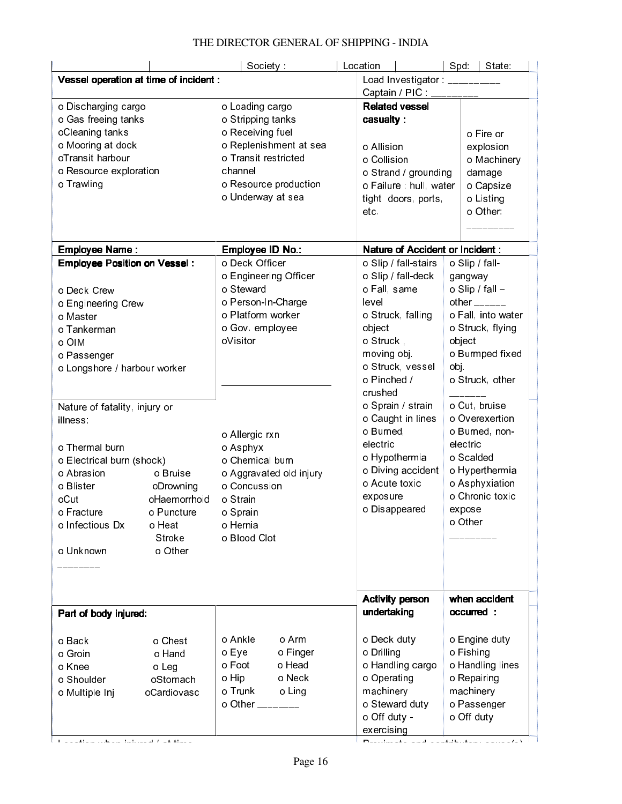|                                                                                                                                                                                                                                                                                                   |                                                                                    | Society                                                                                                                                                                                                                                                      | Location                                                                                                                                                                                                                                                                                                   | Spd.   State                                                                                                                                                                                                                                                                                                  |
|---------------------------------------------------------------------------------------------------------------------------------------------------------------------------------------------------------------------------------------------------------------------------------------------------|------------------------------------------------------------------------------------|--------------------------------------------------------------------------------------------------------------------------------------------------------------------------------------------------------------------------------------------------------------|------------------------------------------------------------------------------------------------------------------------------------------------------------------------------------------------------------------------------------------------------------------------------------------------------------|---------------------------------------------------------------------------------------------------------------------------------------------------------------------------------------------------------------------------------------------------------------------------------------------------------------|
| Vessel operation at time of incident :                                                                                                                                                                                                                                                            |                                                                                    |                                                                                                                                                                                                                                                              | Load Investigator: __________                                                                                                                                                                                                                                                                              |                                                                                                                                                                                                                                                                                                               |
|                                                                                                                                                                                                                                                                                                   |                                                                                    |                                                                                                                                                                                                                                                              | Captain / PIC:                                                                                                                                                                                                                                                                                             |                                                                                                                                                                                                                                                                                                               |
| o Discharging cargo<br>o Gas freeing tanks<br>oCleaning tanks<br>o Mooring at dock<br>oTransit harbour<br>o Resource exploration<br>o Trawling<br><b>Employee Name:</b>                                                                                                                           |                                                                                    | o Loading cargo<br>o Stripping tanks<br>o Receiving fuel<br>o Replenishment at sea<br>o Transit restricted<br>channel<br>o Resource production<br>o Underway at sea<br>Employee ID No.:                                                                      | <b>Related vessel</b><br>casualty:<br>o Allision<br>o Collision<br>o Strand / grounding<br>o Failure : hull, water<br>tight doors, ports,<br>etc.<br><b>Nature of Accident or Incident:</b>                                                                                                                | o Fire or<br>explosion<br>o Machinery<br>damage<br>o Capsize<br>o Listing<br>o Other:                                                                                                                                                                                                                         |
| <b>Employee Position on Vessel:</b>                                                                                                                                                                                                                                                               |                                                                                    | o Deck Officer                                                                                                                                                                                                                                               | o Slip / fall-stairs                                                                                                                                                                                                                                                                                       | o Slip / fall-                                                                                                                                                                                                                                                                                                |
| o Deck Crew<br>o Engineering Crew<br>o Master<br>o Tankerman<br>o OIM<br>o Passenger<br>o Longshore / harbour worker<br>Nature of fatality, injury or<br>illness:<br>o Thermal burn<br>o Electrical burn (shock)<br>o Abrasion<br>o Blister<br>oCut<br>o Fracture<br>o Infectious Dx<br>o Unknown | o Bruise<br>oDrowning<br>oHaemorrhoid<br>o Puncture<br>o Heat<br>Stroke<br>o Other | o Engineering Officer<br>o Steward<br>o Person-In-Charge<br>o Platform worker<br>o Gov. employee<br>oVisitor<br>o Allergic rxn<br>o Asphyx<br>o Chemical burn<br>o Aggravated old injury<br>o Concussion<br>o Strain<br>o Sprain<br>o Hernia<br>o Blood Clot | o Slip / fall-deck<br>o Fall, same<br>level<br>o Struck, falling<br>object<br>o Struck,<br>moving obj<br>o Struck, vessel<br>o Pinched /<br>crushed<br>o Sprain / strain<br>o Caught in lines<br>o Burned,<br>electric<br>o Hypothermia<br>o Diving accident<br>o Acute toxic<br>exposure<br>o Disappeared | gangway<br>o Slip / fall -<br>other $\frac{1}{2}$<br>o Fall, into water<br>o Struck, flying<br>object<br>o Burmped fixed<br>obj.<br>o Struck, other<br>o Cut, bruise<br>o Overexertion<br>o Burned, non-<br>electric<br>o Scalded<br>o Hyperthermia<br>o Asphyxiation<br>o Chronic toxic<br>expose<br>o Other |
|                                                                                                                                                                                                                                                                                                   |                                                                                    |                                                                                                                                                                                                                                                              |                                                                                                                                                                                                                                                                                                            |                                                                                                                                                                                                                                                                                                               |
|                                                                                                                                                                                                                                                                                                   |                                                                                    |                                                                                                                                                                                                                                                              |                                                                                                                                                                                                                                                                                                            |                                                                                                                                                                                                                                                                                                               |
|                                                                                                                                                                                                                                                                                                   |                                                                                    |                                                                                                                                                                                                                                                              | <b>Activity person</b>                                                                                                                                                                                                                                                                                     | when accident                                                                                                                                                                                                                                                                                                 |
| Part of body injured:                                                                                                                                                                                                                                                                             |                                                                                    |                                                                                                                                                                                                                                                              | undertaking                                                                                                                                                                                                                                                                                                | occurred :                                                                                                                                                                                                                                                                                                    |
| o Back<br>o Groin<br>o Knee<br>o Shoulder<br>o Multiple Inj                                                                                                                                                                                                                                       | o Chest<br>o Hand<br>o Leg<br>oStomach<br>oCardiovasc                              | o Ankle<br>o Arm<br>o Eye<br>o Finger<br>o Foot<br>o Head<br>o Hip<br>o Neck<br>o Trunk<br>o Ling<br>o Other ________                                                                                                                                        | o Deck duty<br>o Drilling<br>o Handling cargo<br>o Operating<br>machinery<br>o Steward duty<br>o Off duty -<br>exercising                                                                                                                                                                                  | o Engine duty<br>o Fishing<br>o Handling lines<br>o Repairing<br>machinery<br>o Passenger<br>o Off duty                                                                                                                                                                                                       |

Location when injured  $l$  at time  $P$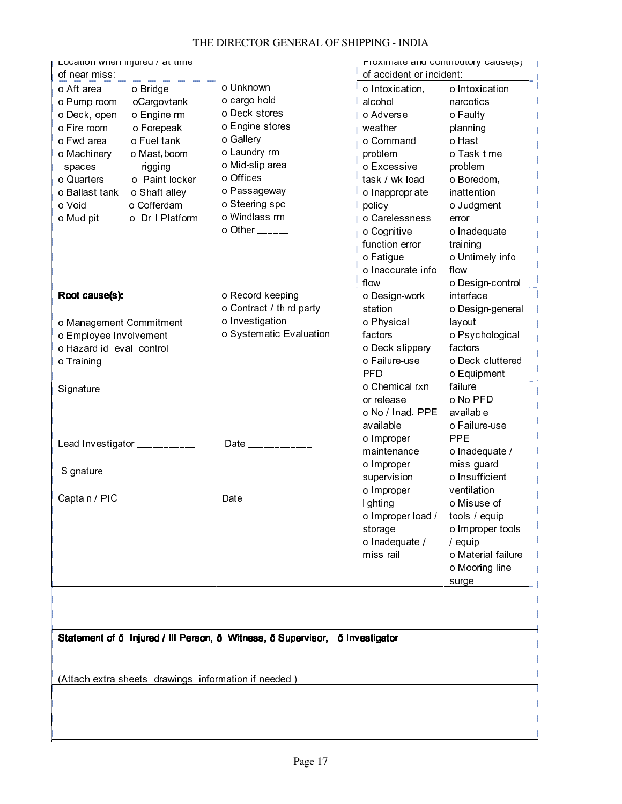#### Location when injured / at time of near miss: o Unknown o cargo hold o Deck stores o Engine stores o Gallery o Laundry rm o Mid-slip area o Offices o Passageway o Steering spc o Windlass rm o Other \_\_\_\_\_\_ Proximate and contributory cause(s) of accident or incident: o Aft area o Bridge o Pump room oCargovtank o Deck, open o Engine rm o Fire room o Forepeak o Fwd area o Fuel tank o Machinery o Mast, boom, spaces rigging o Quarters o Paint locker o Ballast tank o Shaft alley o Void o Cofferdam o Mud pit **o** Drill, Platform o Intoxication, alcohol o Adverse weather o Command problem o Excessive task / wk load o Inappropriate policy o Carelessness o Cognitive function error o Fatigue o Inaccurate info flow o Design-work station o Physical factors o Deck slippery o Failure-use PFD o Chemical rxn or release o No / Inad. PPE available o Improper maintenance o Improper supervision o Improper lighting o Improper load / storage o Inadequate / miss rail o Intoxication , narcotics o Faulty planning o Hast o Task time problem o Boredom, inattention o Judgment error o Inadequate training o Untimely info flow o Design-control interface o Design-general layout o Psychological factors o Deck cluttered o Equipment failure o No PFD available o Failure-use PPE o Inadequate / miss guard o Insufficient ventilation o Misuse of tools / equip o Improper tools / equip o Material failure o Mooring line surge Root cause(s): o Management Commitment o Employee Involvement o Hazard id, eval, control o Training o Record keeping o Contract / third party o Investigation o Systematic Evaluation **Signature** Lead Investigator \_\_\_\_\_\_\_\_\_\_\_\_ **Signature** Captain / PIC \_\_\_\_\_\_\_\_\_\_\_\_\_\_\_ Date \_\_\_\_\_\_\_\_\_\_\_\_\_\_\_ Date \_\_\_\_\_\_\_\_\_\_\_\_\_\_\_\_ Statement of ð Injured / Ill Person, ð Witness, ð Supervisor, ð Investigator (Attach extra sheets, drawings, information if needed.)

### THE DIRECTOR GENERAL OF SHIPPING - INDIA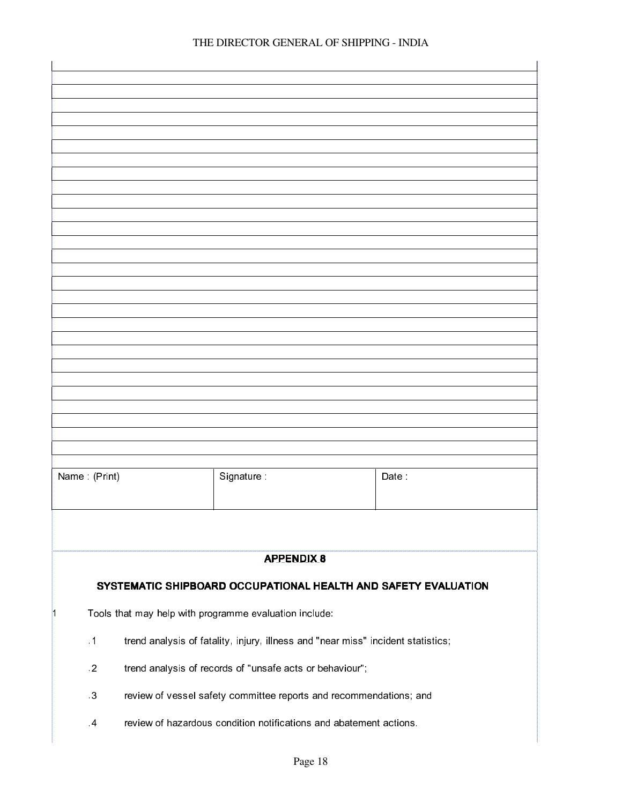| Name: (Print)<br>Signature:<br>Date<br><b>APPENDIX 8</b><br>SYSTEMATIC SHIPBOARD OCCUPATIONAL HEALTH AND SAFETY EVALUATION<br>Tools that may help with programme evaluation include:<br>n<br>trend analysis of fatality, injury, illness and "near miss" incident statistics;<br>$\cdot$ 1<br>$\cdot$ 2<br>trend analysis of records of "unsafe acts or behaviour";<br>$\cdot$ 3<br>review of vessel safety committee reports and recommendations; and<br>review of hazardous condition notifications and abatement actions.<br>$\cdot$ |  |  |  |  |
|-----------------------------------------------------------------------------------------------------------------------------------------------------------------------------------------------------------------------------------------------------------------------------------------------------------------------------------------------------------------------------------------------------------------------------------------------------------------------------------------------------------------------------------------|--|--|--|--|
|                                                                                                                                                                                                                                                                                                                                                                                                                                                                                                                                         |  |  |  |  |
|                                                                                                                                                                                                                                                                                                                                                                                                                                                                                                                                         |  |  |  |  |
|                                                                                                                                                                                                                                                                                                                                                                                                                                                                                                                                         |  |  |  |  |
|                                                                                                                                                                                                                                                                                                                                                                                                                                                                                                                                         |  |  |  |  |
|                                                                                                                                                                                                                                                                                                                                                                                                                                                                                                                                         |  |  |  |  |
|                                                                                                                                                                                                                                                                                                                                                                                                                                                                                                                                         |  |  |  |  |
|                                                                                                                                                                                                                                                                                                                                                                                                                                                                                                                                         |  |  |  |  |
|                                                                                                                                                                                                                                                                                                                                                                                                                                                                                                                                         |  |  |  |  |
|                                                                                                                                                                                                                                                                                                                                                                                                                                                                                                                                         |  |  |  |  |
|                                                                                                                                                                                                                                                                                                                                                                                                                                                                                                                                         |  |  |  |  |
|                                                                                                                                                                                                                                                                                                                                                                                                                                                                                                                                         |  |  |  |  |
|                                                                                                                                                                                                                                                                                                                                                                                                                                                                                                                                         |  |  |  |  |
|                                                                                                                                                                                                                                                                                                                                                                                                                                                                                                                                         |  |  |  |  |
|                                                                                                                                                                                                                                                                                                                                                                                                                                                                                                                                         |  |  |  |  |
|                                                                                                                                                                                                                                                                                                                                                                                                                                                                                                                                         |  |  |  |  |
|                                                                                                                                                                                                                                                                                                                                                                                                                                                                                                                                         |  |  |  |  |
|                                                                                                                                                                                                                                                                                                                                                                                                                                                                                                                                         |  |  |  |  |
|                                                                                                                                                                                                                                                                                                                                                                                                                                                                                                                                         |  |  |  |  |
|                                                                                                                                                                                                                                                                                                                                                                                                                                                                                                                                         |  |  |  |  |
|                                                                                                                                                                                                                                                                                                                                                                                                                                                                                                                                         |  |  |  |  |
|                                                                                                                                                                                                                                                                                                                                                                                                                                                                                                                                         |  |  |  |  |
|                                                                                                                                                                                                                                                                                                                                                                                                                                                                                                                                         |  |  |  |  |
|                                                                                                                                                                                                                                                                                                                                                                                                                                                                                                                                         |  |  |  |  |
|                                                                                                                                                                                                                                                                                                                                                                                                                                                                                                                                         |  |  |  |  |
|                                                                                                                                                                                                                                                                                                                                                                                                                                                                                                                                         |  |  |  |  |
|                                                                                                                                                                                                                                                                                                                                                                                                                                                                                                                                         |  |  |  |  |
|                                                                                                                                                                                                                                                                                                                                                                                                                                                                                                                                         |  |  |  |  |
|                                                                                                                                                                                                                                                                                                                                                                                                                                                                                                                                         |  |  |  |  |
|                                                                                                                                                                                                                                                                                                                                                                                                                                                                                                                                         |  |  |  |  |
|                                                                                                                                                                                                                                                                                                                                                                                                                                                                                                                                         |  |  |  |  |
|                                                                                                                                                                                                                                                                                                                                                                                                                                                                                                                                         |  |  |  |  |
|                                                                                                                                                                                                                                                                                                                                                                                                                                                                                                                                         |  |  |  |  |
|                                                                                                                                                                                                                                                                                                                                                                                                                                                                                                                                         |  |  |  |  |
|                                                                                                                                                                                                                                                                                                                                                                                                                                                                                                                                         |  |  |  |  |
|                                                                                                                                                                                                                                                                                                                                                                                                                                                                                                                                         |  |  |  |  |
|                                                                                                                                                                                                                                                                                                                                                                                                                                                                                                                                         |  |  |  |  |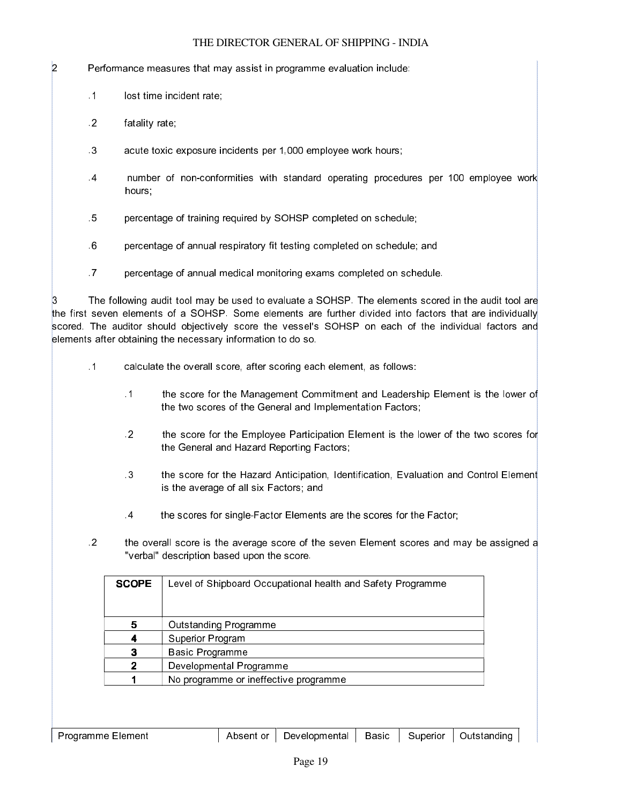2  **Performance measures that may assist in programme evaluation include:** 

- .1 lost time incident rate;
- .2 fatality rate;
- .3 acute toxic exposure incidents per 1,000 employee work hours;
- .4 number of non-conformities with standard operating procedures per 100 employee work hours;
- .5 percentage of training required by SOHSP completed on schedule;
- .6 percentage of annual respiratory fit testing completed on schedule; and
- .7 percentage of annual medical monitoring exams completed on schedule.

The following audit tool may be used to evaluate a SOHSP. The elements scored in the audit tool are the first seven elements of a SOHSP. Some elements are further divided into factors that are individually scored. The auditor should objectively score the vessel's SOHSP on each of the individual factors and elements after obtaining the necessary information to do so.

- .1 calculate the overall score, after scoring each element, as follows:
	- .1 the score for the Management Commitment and Leadership Element is the lower of the two scores of the General and Implementation Factors;
	- .2 the score for the Employee Participation Element is the lower of the two scores for the General and Hazard Reporting Factors;
	- .3 the score for the Hazard Anticipation, Identification, Evaluation and Control Element is the average of all six Factors; and
	- .4 the scores for single-Factor Elements are the scores for the Factor;
- .2  $\cdot$  the overall score is the average score of the seven Element scores and may be assigned a "verbal" description based upon the score.

| <b>SCOPE</b> | Level of Shipboard Occupational health and Safety Programme |
|--------------|-------------------------------------------------------------|
| 5            | <b>Outstanding Programme</b>                                |
|              | Superior Program                                            |
|              | Basic Programme                                             |
| 2            | Developmental Programme                                     |
|              | No programme or ineffective programme                       |

anna.<br>C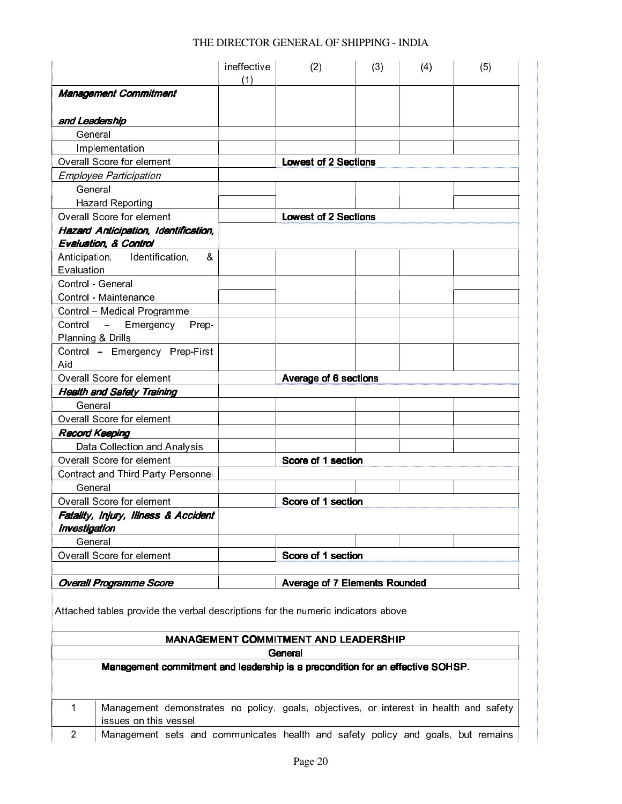|                                             | ineffective<br>(1) | (2)                                  | (3) | (4) | (5) |
|---------------------------------------------|--------------------|--------------------------------------|-----|-----|-----|
| <b>Management Commitment</b>                |                    |                                      |     |     |     |
| and Leadership                              |                    |                                      |     |     |     |
| General                                     |                    |                                      |     |     |     |
| Implementation                              |                    |                                      |     |     |     |
| <b>Overall Score for element</b>            |                    | <b>Lowest of 2 Sections</b>          |     |     |     |
| <b>Employee Participation</b>               |                    |                                      |     |     |     |
| General                                     |                    |                                      |     |     |     |
| <b>Hazard Reporting</b>                     |                    |                                      |     |     |     |
| Overall Score for element                   |                    | <b>Lowest of 2 Sections</b>          |     |     |     |
| <b>Hazard Anticipation, Identification,</b> |                    |                                      |     |     |     |
| <b>Evaluation, &amp; Control</b>            |                    |                                      |     |     |     |
| Anticipation, Identification,<br>&          |                    |                                      |     |     |     |
| Evaluation                                  |                    |                                      |     |     |     |
| Control - General                           |                    |                                      |     |     |     |
| Control - Maintenance                       |                    |                                      |     |     |     |
| Control - Medical Programme                 |                    |                                      |     |     |     |
| Control –<br>Emergency<br>Prep-             |                    |                                      |     |     |     |
| Planning & Drills                           |                    |                                      |     |     |     |
| Control - Emergency Prep-First              |                    |                                      |     |     |     |
| Aid                                         |                    |                                      |     |     |     |
| Overall Score for element                   |                    | <b>Average of 6 sections</b>         |     |     |     |
| <b>Health and Safety Training</b>           |                    |                                      |     |     |     |
| General                                     |                    |                                      |     |     |     |
| Overall Score for element                   |                    |                                      |     |     |     |
| <b>Record Keeping</b>                       |                    |                                      |     |     |     |
| Data Collection and Analysis                |                    |                                      |     |     |     |
| <b>Overall Score for element</b>            |                    | Score of 1 section                   |     |     |     |
| Contract and Third Party Personnel          |                    |                                      |     |     |     |
| General                                     |                    |                                      |     |     |     |
| Overall Score for element                   |                    | Score of 1 section                   |     |     |     |
| Fatality, Injury, Illness & Accident        |                    |                                      |     |     |     |
| <b>Investigation</b>                        |                    |                                      |     |     |     |
| General                                     |                    |                                      |     |     |     |
| Overall Score for element                   |                    | Score of 1 section                   |     |     |     |
|                                             |                    |                                      |     |     |     |
| <b>Overall Programme Score</b>              |                    | <b>Average of 7 Elements Rounded</b> |     |     |     |

Attached tables provide the verbal descriptions for the numeric indicators above

# MANAGEMENT COMMITMENT AND LEADERSHIP

### **General**

Management commitment and leadership is a precondition for an effective SOHSP.

| Management demonstrates no policy, goals, objectives, or interest in health and safety |
|----------------------------------------------------------------------------------------|
| issues on this vessel.                                                                 |
| Management sets and communicates health and safety policy and goals, but remains       |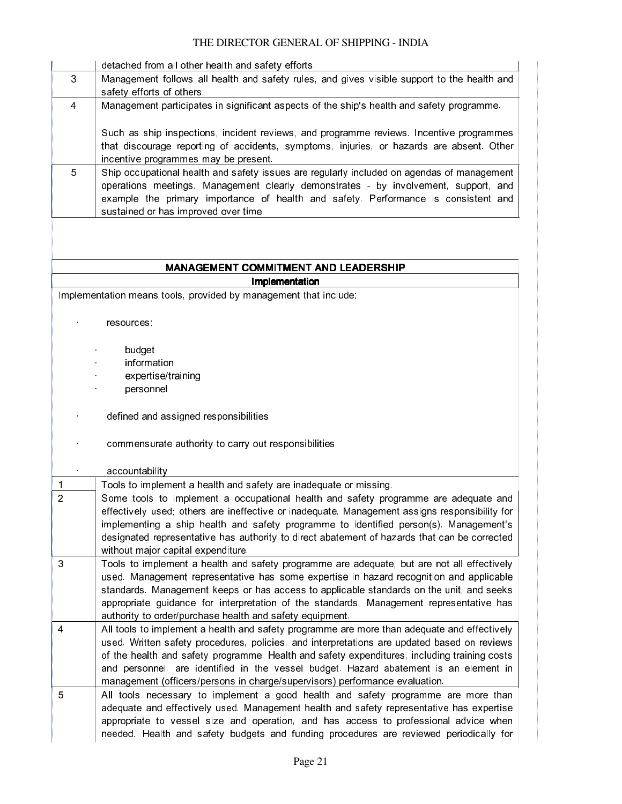ananan

naman<br>1

|                | detached from all other health and safety efforts.                                                                                                                                                                                                                                                                                                                                                                                                                 |
|----------------|--------------------------------------------------------------------------------------------------------------------------------------------------------------------------------------------------------------------------------------------------------------------------------------------------------------------------------------------------------------------------------------------------------------------------------------------------------------------|
| 3              | Management follows all health and safety rules, and gives visible support to the health and<br>safety efforts of others.                                                                                                                                                                                                                                                                                                                                           |
| $\overline{4}$ | Management participates in significant aspects of the ship's health and safety programme.                                                                                                                                                                                                                                                                                                                                                                          |
|                | Such as ship inspections, incident reviews, and programme reviews. Incentive programmes<br>that discourage reporting of accidents, symptoms, injuries, or hazards are absent. Other<br>incentive programmes may be present.                                                                                                                                                                                                                                        |
| 5              | Ship occupational health and safety issues are regularly included on agendas of management<br>operations meetings. Management clearly demonstrates - by involvement, support, and<br>example the primary importance of health and safety. Performance is consistent and<br>sustained or has improved over time.                                                                                                                                                    |
|                |                                                                                                                                                                                                                                                                                                                                                                                                                                                                    |
|                | <b>MANAGEMENT COMMITMENT AND LEADERSHIP</b>                                                                                                                                                                                                                                                                                                                                                                                                                        |
|                | Implementation<br>Implementation means tools, provided by management that include:                                                                                                                                                                                                                                                                                                                                                                                 |
|                |                                                                                                                                                                                                                                                                                                                                                                                                                                                                    |
|                | resources.                                                                                                                                                                                                                                                                                                                                                                                                                                                         |
|                | budget                                                                                                                                                                                                                                                                                                                                                                                                                                                             |
|                | information                                                                                                                                                                                                                                                                                                                                                                                                                                                        |
|                | expertise/training                                                                                                                                                                                                                                                                                                                                                                                                                                                 |
|                | personnel                                                                                                                                                                                                                                                                                                                                                                                                                                                          |
|                | defined and assigned responsibilities                                                                                                                                                                                                                                                                                                                                                                                                                              |
|                | commensurate authority to carry out responsibilities                                                                                                                                                                                                                                                                                                                                                                                                               |
|                | accountability                                                                                                                                                                                                                                                                                                                                                                                                                                                     |
| $\mathbf 1$    | Tools to implement a health and safety are inadequate or missing.                                                                                                                                                                                                                                                                                                                                                                                                  |
| $\overline{2}$ | Some tools to implement a occupational health and safety programme are adequate and<br>effectively used; others are ineffective or inadequate. Management assigns responsibility for<br>implementing a ship health and safety programme to identified person(s). Management's<br>designated representative has authority to direct abatement of hazards that can be corrected<br>without major capital expenditure.                                                |
| 3              | Tools to implement a health and safety programme are adequate, but are not all effectively<br>used. Management representative has some expertise in hazard recognition and applicable<br>standards. Management keeps or has access to applicable standards on the unit, and seeks<br>appropriate guidance for interpretation of the standards. Management representative has<br>authority to order/purchase health and safety equipment.                           |
| $\overline{4}$ | All tools to implement a health and safety programme are more than adequate and effectively<br>used. Written safety procedures, policies, and interpretations are updated based on reviews<br>of the health and safety programme. Health and safety expenditures, including training costs<br>and personnel, are identified in the vessel budget. Hazard abatement is an element in<br>management (officers/persons in charge/supervisors) performance evaluation. |
| 5              | All tools necessary to implement a good health and safety programme are more than<br>adequate and effectively used. Management health and safety representative has expertise<br>appropriate to vessel size and operation, and has access to professional advice when<br>needed. Health and safety budgets and funding procedures are reviewed periodically for                                                                                                    |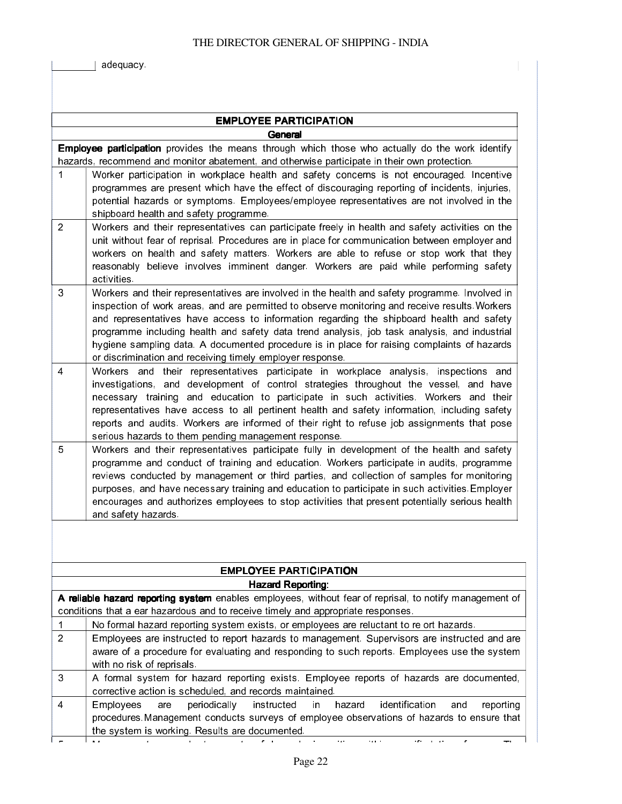adequacy.

|                | <b>EMPLOYEE PARTICIPATION</b>                                                                                                                                                                                                                                                                                                                                                                                                                                                                                                                            |  |  |
|----------------|----------------------------------------------------------------------------------------------------------------------------------------------------------------------------------------------------------------------------------------------------------------------------------------------------------------------------------------------------------------------------------------------------------------------------------------------------------------------------------------------------------------------------------------------------------|--|--|
|                | General                                                                                                                                                                                                                                                                                                                                                                                                                                                                                                                                                  |  |  |
|                | <b>Employee participation</b> provides the means through which those who actually do the work identify<br>hazards, recommend and monitor abatement, and otherwise participate in their own protection.                                                                                                                                                                                                                                                                                                                                                   |  |  |
| 1              | Worker participation in workplace health and safety concerns is not encouraged. Incentive<br>programmes are present which have the effect of discouraging reporting of incidents, injuries,<br>potential hazards or symptoms. Employees/employee representatives are not involved in the<br>shipboard health and safety programme.                                                                                                                                                                                                                       |  |  |
| $\overline{2}$ | Workers and their representatives can participate freely in health and safety activities on the<br>unit without fear of reprisal. Procedures are in place for communication between employer and<br>workers on health and safety matters. Workers are able to refuse or stop work that they<br>reasonably believe involves imminent danger. Workers are paid while performing safety<br>activities                                                                                                                                                       |  |  |
| 3              | Workers and their representatives are involved in the health and safety programme. Involved in<br>inspection of work areas, and are permitted to observe monitoring and receive results. Workers<br>and representatives have access to information regarding the shipboard health and safety<br>programme including health and safety data trend analysis, job task analysis, and industrial<br>hygiene sampling data. A documented procedure is in place for raising complaints of hazards<br>or discrimination and receiving timely employer response. |  |  |
| $\overline{4}$ | Workers and their representatives participate in workplace analysis, inspections and<br>investigations, and development of control strategies throughout the vessel, and have<br>necessary training and education to participate in such activities. Workers and their<br>representatives have access to all pertinent health and safety information, including safety<br>reports and audits. Workers are informed of their right to refuse job assignments that pose<br>serious hazards to them pending management response.                            |  |  |
| 5              | Workers and their representatives participate fully in development of the health and safety<br>programme and conduct of training and education. Workers participate in audits, programme<br>reviews conducted by management or third parties, and collection of samples for monitoring<br>purposes, and have necessary training and education to participate in such activities. Employer<br>encourages and authorizes employees to stop activities that present potentially serious health<br>and safety hazards.                                       |  |  |
|                |                                                                                                                                                                                                                                                                                                                                                                                                                                                                                                                                                          |  |  |
|                | <b>EMPLOYEE PARTICIPATION</b>                                                                                                                                                                                                                                                                                                                                                                                                                                                                                                                            |  |  |
|                | <b>Hazard Reporting:</b><br>A reliable hazard reporting system enables employees, without fear of reprisal, to notify management of                                                                                                                                                                                                                                                                                                                                                                                                                      |  |  |
|                | conditions that a ear hazardous and to receive timely and appropriate responses.                                                                                                                                                                                                                                                                                                                                                                                                                                                                         |  |  |
| 1              | No formal hazard reporting system exists, or employees are reluctant to re ort hazards.                                                                                                                                                                                                                                                                                                                                                                                                                                                                  |  |  |
| $\overline{2}$ | Employees are instructed to report hazards to management. Supervisors are instructed and are<br>aware of a procedure for evaluating and responding to such reports. Employees use the system<br>with no risk of reprisals.                                                                                                                                                                                                                                                                                                                               |  |  |
| 3              | A formal system for hazard reporting exists. Employee reports of hazards are documented,<br>corrective action is scheduled, and records maintained.                                                                                                                                                                                                                                                                                                                                                                                                      |  |  |
| 4              | identification<br>periodically<br>Employees<br>instructed<br>hazard<br>and<br>are<br>in<br>reporting<br>procedures. Management conducts surveys of employee observations of hazards to ensure that<br>the system is working. Results are documented.                                                                                                                                                                                                                                                                                                     |  |  |
| $\mathbf{r}$   | the constitution<br>المستنقط القاربات                                                                                                                                                                                                                                                                                                                                                                                                                                                                                                                    |  |  |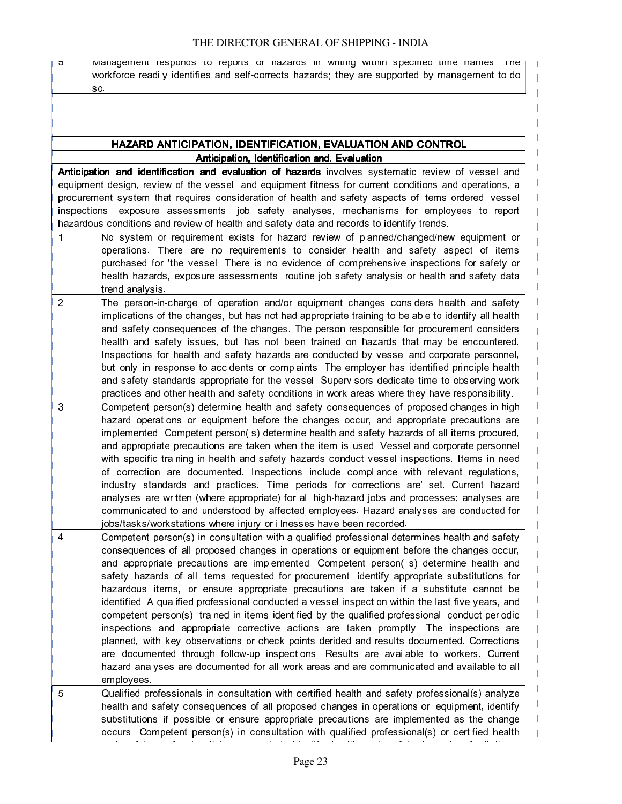i<br>Saman

5 I Management responds to reports or nazards in writing within specified time frames. The workforce readily identifies and self-corrects hazards; they are supported by management to do so.

### HAZARD ANTICIPATION, IDENTIFICATION, EVALUATION AND CONTROL Anticipation, Identification and. Evaluation

Anticipation and identification and evaluation of hazards involves systematic review of vessel and equipment design, review of the vessel. and equipment fitness for current conditions and operations, a procurement system that requires consideration of health and safety aspects of items ordered, vessel inspections, exposure assessments, job safety analyses, mechanisms for employees to report hazardous conditions and review of health and safety data and records to identify trends.

- 1 No system or requirement exists for hazard review of planned/changed/new equipment or operations. There are no requirements to consider health and safety aspect of items purchased for 'the vessel. There is no evidence of comprehensive inspections for safety or health hazards, exposure assessments, routine job safety analysis or health and safety data trend analysis. 2 The person-in-charge of operation and/or equipment changes considers health and safety implications of the changes, but has not had appropriate training to be able to identify all health and safety consequences of the changes. The person responsible for procurement considers health and safety issues, but has not been trained on hazards that may be encountered. Inspections for health and safety hazards are conducted by vessel and corporate personnel, but only in response to accidents or complaints. The employer has identified principle health and safety standards appropriate for the vessel. Supervisors dedicate time to observing work practices and other health and safety conditions in work areas where they have responsibility. 3 Competent person(s) determine health and safety consequences of proposed changes in high hazard operations or equipment before the changes occur, and appropriate precautions are
- implemented. Competent person( s) determine health and safety hazards of all items procured, and appropriate precautions are taken when the item is used. Vessel and corporate personnel with specific training in health and safety hazards conduct vessel inspections. Items in need of correction are documented. Inspections include compliance with relevant regulations, industry standards and practices. Time periods for corrections are' set. Current hazard analyses are written (where appropriate) for all high-hazard jobs and processes; analyses are communicated to and understood by affected employees. Hazard analyses are conducted for jobs/tasks/workstations where injury or illnesses have been recorded.

4 Competent person(s) in consultation with a qualified professional determines health and safety consequences of all proposed changes in operations or equipment before the changes occur, and appropriate precautions are implemented. Competent person( s) determine health and safety hazards of all items requested for procurement, identify appropriate substitutions for hazardous items, or ensure appropriate precautions are taken if a substitute cannot be identified. A qualified professional conducted a vessel inspection within the last five years, and competent person(s), trained in items identified by the qualified professional, conduct periodic inspections and appropriate corrective actions are taken promptly. The inspections are planned, with key observations or check points derided and results documented. Corrections are documented through follow-up inspections. Results are available to workers. Current hazard analyses are documented for all work areas and are communicated and available to all employees.

5 Qualified professionals in consultation with certified health and safety professional(s) analyze health and safety consequences of all proposed changes in operations or. equipment, identify substitutions if possible or ensure appropriate precautions are implemented as the change occurs. Competent person(s) in consultation with qualified professional(s) or certified health and safety professional (s), as needed, identify health and safety had safety hazards of all items of all items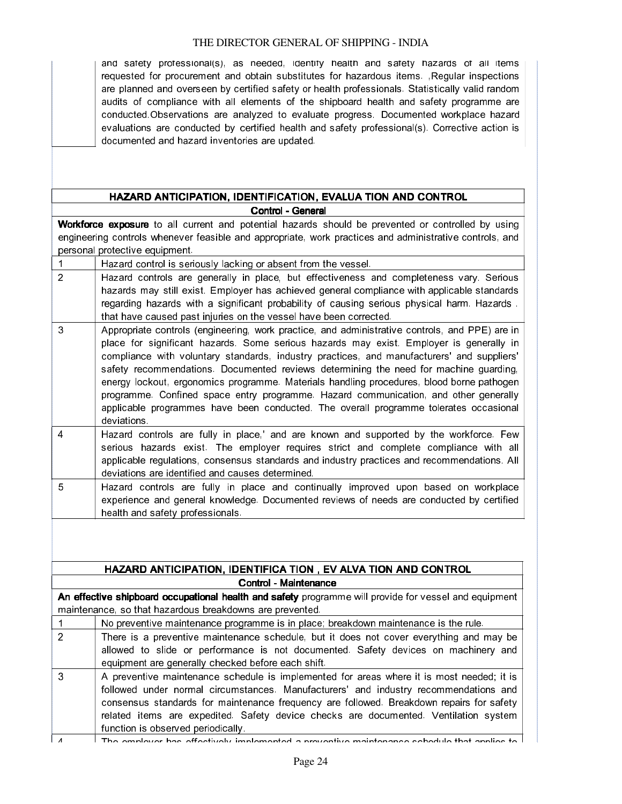and safety professional(s), as needed, identify health and safety hazards of all items requested for procurement and obtain substitutes for hazardous items. ,Regular inspections are planned and overseen by certified safety or health professionals. Statistically valid random audits of compliance with all elements of the shipboard health and safety programme are conducted.Observations are analyzed to evaluate progress. Documented workplace hazard evaluations are conducted by certified health and safety professional(s). Corrective action is documented and hazard inventories are updated.

### HAZARD ANTICIPATION, IDENTIFICATION, EVALUA TION AND CONTROL Control - General

in anno 19

Workforce exposure to all current and potential hazards should be prevented or controlled by using engineering controls whenever feasible and appropriate, work practices and administrative controls, and personal protective equipment.

| $\blacktriangleleft$ | Hazard control is seriously lacking or absent from the vessel.                                                                                                                                                                                                                                                                                                                                                                                                                                                                                                                                                                                                               |
|----------------------|------------------------------------------------------------------------------------------------------------------------------------------------------------------------------------------------------------------------------------------------------------------------------------------------------------------------------------------------------------------------------------------------------------------------------------------------------------------------------------------------------------------------------------------------------------------------------------------------------------------------------------------------------------------------------|
| $\overline{2}$       | Hazard controls are generally in place, but effectiveness and completeness vary. Serious<br>hazards may still exist. Employer has achieved general compliance with applicable standards<br>regarding hazards with a significant probability of causing serious physical harm. Hazards.<br>that have caused past injuries on the vessel have been corrected.                                                                                                                                                                                                                                                                                                                  |
| $\mathbf{3}$         | Appropriate controls (engineering, work practice, and administrative controls, and PPE) are in<br>place for significant hazards. Some serious hazards may exist. Employer is generally in<br>compliance with voluntary standards, industry practices, and manufacturers' and suppliers'<br>safety recommendations. Documented reviews determining the need for machine guarding,<br>energy lockout, ergonomics programme. Materials handling procedures, blood borne pathogen<br>programme. Confined space entry programme. Hazard communication, and other generally<br>applicable programmes have been conducted. The overall programme tolerates occasional<br>deviations |
| $\overline{4}$       | Hazard controls are fully in place,' and are known and supported by the workforce. Few<br>serious hazards exist. The employer requires strict and complete compliance with all<br>applicable regulations, consensus standards and industry practices and recommendations. All<br>deviations are identified and causes determined.                                                                                                                                                                                                                                                                                                                                            |
| 5                    | Hazard controls are fully in place and continually improved upon based on workplace<br>experience and general knowledge. Documented reviews of needs are conducted by certified<br>health and safety professionals.                                                                                                                                                                                                                                                                                                                                                                                                                                                          |
|                      |                                                                                                                                                                                                                                                                                                                                                                                                                                                                                                                                                                                                                                                                              |
|                      | HAZARD ANTICIPATION, IDENTIFICA TION, EV ALVA TION AND CONTROL                                                                                                                                                                                                                                                                                                                                                                                                                                                                                                                                                                                                               |
|                      | <b>Control - Maintenance</b>                                                                                                                                                                                                                                                                                                                                                                                                                                                                                                                                                                                                                                                 |
|                      | An effective shipboard occupational health and safety programme will provide for vessel and equipment<br>maintenance, so that hazardous breakdowns are prevented.                                                                                                                                                                                                                                                                                                                                                                                                                                                                                                            |
| 1                    | No preventive maintenance programme is in place; breakdown maintenance is the rule.                                                                                                                                                                                                                                                                                                                                                                                                                                                                                                                                                                                          |
| $\overline{2}$       | There is a preventive maintenance schedule, but it does not cover everything and may be<br>allowed to slide or performance is not documented. Safety devices on machinery and<br>equipment are generally checked before each shift.                                                                                                                                                                                                                                                                                                                                                                                                                                          |
| 3                    | A preventive maintenance schedule is implemented for areas where it is most needed; it is<br>followed under normal circumstances. Manufacturers' and industry recommendations and<br>consensus standards for maintenance frequency are followed. Breakdown repairs for safety<br>related items are expedited. Safety device checks are documented. Ventilation system<br>function is observed periodically.                                                                                                                                                                                                                                                                  |

 $4$  The employer has effectively implemented a preventive maintenance schedule that applies to  $\mathsf{L}$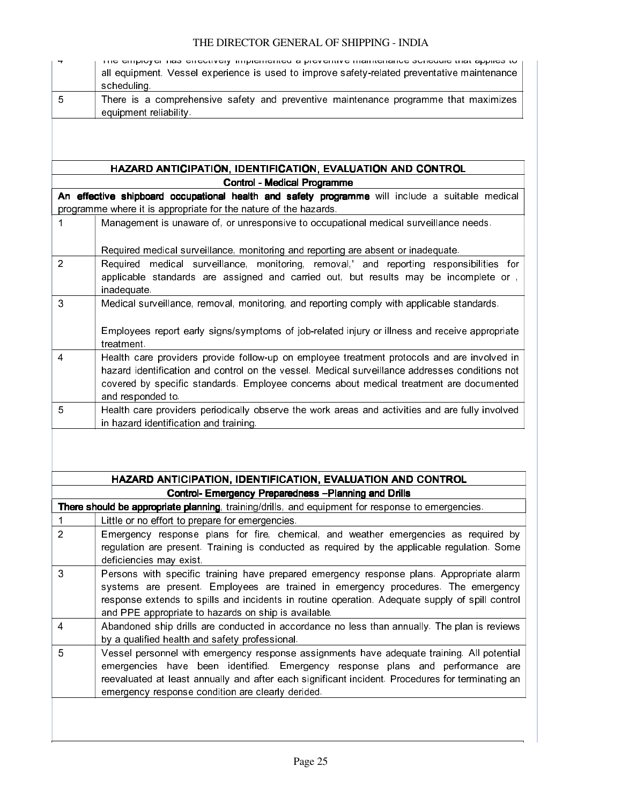$\frac{8}{3}$ 

Ĭ

| 5              | There is a comprehensive safety and preventive maintenance programme that maximizes<br>equipment reliability.                                                                                                                                                                                                                            |
|----------------|------------------------------------------------------------------------------------------------------------------------------------------------------------------------------------------------------------------------------------------------------------------------------------------------------------------------------------------|
|                |                                                                                                                                                                                                                                                                                                                                          |
|                |                                                                                                                                                                                                                                                                                                                                          |
|                | HAZARD ANTICIPATION, IDENTIFICATION, EVALUATION AND CONTROL                                                                                                                                                                                                                                                                              |
|                | Control - Medical Programme                                                                                                                                                                                                                                                                                                              |
|                | An effective shipboard occupational health and safety programme will include a suitable medical<br>programme where it is appropriate for the nature of the hazards.                                                                                                                                                                      |
| 1              | Management is unaware of, or unresponsive to occupational medical surveillance needs.                                                                                                                                                                                                                                                    |
|                | Required medical surveillance, monitoring and reporting are absent or inadequate.                                                                                                                                                                                                                                                        |
| $\overline{2}$ | Required medical surveillance, monitoring, removal,' and reporting responsibilities for                                                                                                                                                                                                                                                  |
|                | applicable standards are assigned and carried out, but results may be incomplete or,<br>inadequate.                                                                                                                                                                                                                                      |
| 3              | Medical surveillance, removal, monitoring, and reporting comply with applicable standards.                                                                                                                                                                                                                                               |
|                | Employees report early signs/symptoms of job-related injury or illness and receive appropriate<br>treatment.                                                                                                                                                                                                                             |
| $\overline{4}$ | Health care providers provide follow-up on employee treatment protocols and are involved in<br>hazard identification and control on the vessel. Medical surveillance addresses conditions not<br>covered by specific standards. Employee concerns about medical treatment are documented<br>and responded to.                            |
| $\overline{5}$ | Health care providers periodically observe the work areas and activities and are fully involved<br>in hazard identification and training.                                                                                                                                                                                                |
|                |                                                                                                                                                                                                                                                                                                                                          |
|                | HAZARD ANTICIPATION, IDENTIFICATION, EVALUATION AND CONTROL                                                                                                                                                                                                                                                                              |
|                | <b>Control- Emergency Preparedness - Planning and Drills</b><br>There should be appropriate planning, training/drills, and equipment for response to emergencies.                                                                                                                                                                        |
| 1              | Little or no effort to prepare for emergencies.                                                                                                                                                                                                                                                                                          |
| $\overline{2}$ | Emergency response plans for fire, chemical, and weather emergencies as required by<br>regulation are present. Training is conducted as required by the applicable regulation. Some<br>deficiencies may exist                                                                                                                            |
| 3              | Persons with specific training have prepared emergency response plans. Appropriate alarm<br>systems are present. Employees are trained in emergency procedures. The emergency<br>response extends to spills and incidents in routine operation. Adequate supply of spill control<br>and PPE appropriate to hazards on ship is available. |
| $\overline{4}$ | Abandoned ship drills are conducted in accordance no less than annually. The plan is reviews<br>by a qualified health and safety professional.                                                                                                                                                                                           |
| 5              | Vessel personnel with emergency response assignments have adequate training. All potential<br>emergencies have been identified. Emergency response plans and performance are<br>reevaluated at least annually and after each significant incident. Procedures for terminating an<br>emergency response condition are clearly derided.    |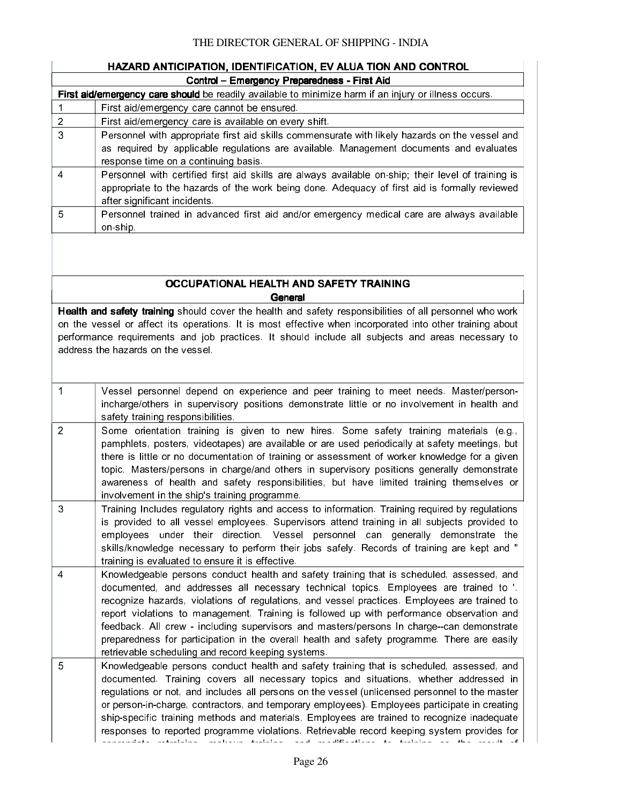$\frac{8}{3}$ 

ł

|                | HAZARD ANTICIPATION, IDENTIFICATION, EV ALUA TION AND CONTROL                                                                                                                                                                                                                                                                                                                                                                                                                                                                                                                                                                     |
|----------------|-----------------------------------------------------------------------------------------------------------------------------------------------------------------------------------------------------------------------------------------------------------------------------------------------------------------------------------------------------------------------------------------------------------------------------------------------------------------------------------------------------------------------------------------------------------------------------------------------------------------------------------|
|                | Control - Emergency Preparedness - First Aid                                                                                                                                                                                                                                                                                                                                                                                                                                                                                                                                                                                      |
|                | First aid/emergency care should be readily available to minimize harm if an injury or illness occurs.                                                                                                                                                                                                                                                                                                                                                                                                                                                                                                                             |
| 1              | First aid/emergency care cannot be ensured.                                                                                                                                                                                                                                                                                                                                                                                                                                                                                                                                                                                       |
| $\overline{2}$ | First aid/emergency care is available on every shift.                                                                                                                                                                                                                                                                                                                                                                                                                                                                                                                                                                             |
| 3              | Personnel with appropriate first aid skills commensurate with likely hazards on the vessel and<br>as required by applicable regulations are available. Management documents and evaluates<br>response time on a continuing basis.                                                                                                                                                                                                                                                                                                                                                                                                 |
| 4              | Personnel with certified first aid skills are always available on-ship; their level of training is<br>appropriate to the hazards of the work being done. Adequacy of first aid is formally reviewed<br>after significant incidents.                                                                                                                                                                                                                                                                                                                                                                                               |
| 5              | Personnel trained in advanced first aid and/or emergency medical care are always available<br>on ship.                                                                                                                                                                                                                                                                                                                                                                                                                                                                                                                            |
|                | OCCUPATIONAL HEALTH AND SAFETY TRAINING                                                                                                                                                                                                                                                                                                                                                                                                                                                                                                                                                                                           |
|                | General<br>Health and safety training should cover the health and safety responsibilities of all personnel who work                                                                                                                                                                                                                                                                                                                                                                                                                                                                                                               |
|                | on the vessel or affect its operations. It is most effective when incorporated into other training about<br>performance requirements and job practices. It should include all subjects and areas necessary to<br>address the hazards on the vessel.                                                                                                                                                                                                                                                                                                                                                                               |
| $\mathbf{1}$   | Vessel personnel depend on experience and peer training to meet needs. Master/person-<br>incharge/others in supervisory positions demonstrate little or no involvement in health and<br>safety training responsibilities.                                                                                                                                                                                                                                                                                                                                                                                                         |
| $\overline{2}$ | Some orientation training is given to new hires. Some safety training materials (e.g.,<br>pamphlets, posters, videotapes) are available or are used periodically at safety meetings, but<br>there is little or no documentation of training or assessment of worker knowledge for a given<br>topic. Masters/persons in charge/and others in supervisory positions generally demonstrate<br>awareness of health and safety responsibilities, but have limited training themselves or<br>involvement in the ship's training programme.                                                                                              |
| 3              | Training Includes regulatory rights and access to information. Training required by regulations<br>is provided to all vessel employees. Supervisors attend training in all subjects provided to<br>employees under their direction. Vessel personnel can generally demonstrate the<br>skills/knowledge necessary to perform their jobs safely. Records of training are kept and "<br>training is evaluated to ensure it is effective.                                                                                                                                                                                             |
| 4              | Knowledgeable persons conduct health and safety training that is scheduled, assessed, and<br>documented, and addresses all necessary technical topics. Employees are trained to '.<br>recognize hazards, violations of regulations, and vessel practices. Employees are trained to<br>report violations to management. Training is followed up with performance observation and<br>feedback. All crew - including supervisors and masters/persons In charge--can demonstrate<br>preparedness for participation in the overall health and safety programme. There are easily<br>retrievable scheduling and record keeping systems. |
| 5              | Knowledgeable persons conduct health and safety training that is scheduled, assessed, and<br>documented. Training covers all necessary topics and situations, whether addressed in<br>regulations or not, and includes all persons on the vessel (unlicensed personnel to the master<br>or person-in-charge, contractors, and temporary employees). Employees participate in creating<br>ship-specific training methods and materials. Employees are trained to recognize inadequate<br>responses to reported programme violations. Retrievable record keeping system provides for<br>$\sim$ $\sim$ $\sim$<br>$A = 1$             |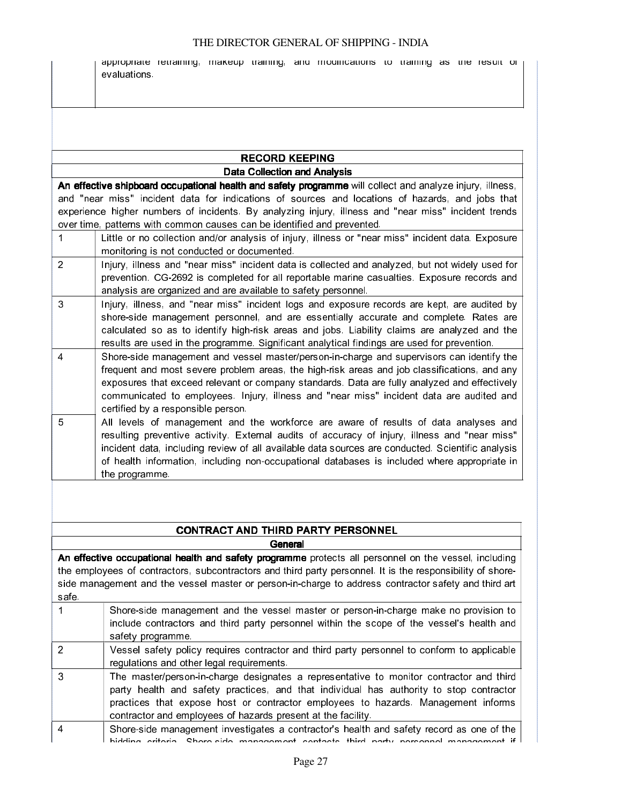appropriate retraining, makeup training, and modifications to training as the result of evaluations.

### RECORD KEEPING Data Collection and Analysis

in anns an

anna.<br>C

An effective shipboard occupational health and safety programme will collect and analyze injury, illness, and "near miss" incident data for indications of sources and locations of hazards, and jobs that experience higher numbers of incidents. By analyzing injury, illness and "near miss" incident trends over time, patterns with common causes can be identified and prevented.

|               | Little or no collection and/or analysis of injury, illness or "near miss" incident data. Exposure                                                                                                                                                                                                                                                                                                                           |
|---------------|-----------------------------------------------------------------------------------------------------------------------------------------------------------------------------------------------------------------------------------------------------------------------------------------------------------------------------------------------------------------------------------------------------------------------------|
|               | monitoring is not conducted or documented.                                                                                                                                                                                                                                                                                                                                                                                  |
| $\mathcal{P}$ | Injury, illness and "near miss" incident data is collected and analyzed, but not widely used for<br>prevention. CG-2692 is completed for all reportable marine casualties. Exposure records and<br>analysis are organized and are available to safety personnel.                                                                                                                                                            |
| 3             | Injury, illness, and "near miss" incident logs and exposure records are kept, are audited by<br>shore-side management personnel, and are essentially accurate and complete. Rates are<br>calculated so as to identify high-risk areas and jobs. Liability claims are analyzed and the<br>results are used in the programme. Significant analytical findings are used for prevention.                                        |
| 4             | Shore-side management and vessel master/person-in-charge and supervisors can identify the<br>frequent and most severe problem areas, the high-risk areas and job classifications, and any<br>exposures that exceed relevant or company standards. Data are fully analyzed and effectively<br>communicated to employees. Injury, illness and "near miss" incident data are audited and<br>certified by a responsible person. |
|               |                                                                                                                                                                                                                                                                                                                                                                                                                             |

5 All levels of management and the workforce are aware of results of data analyses and resulting preventive activity. External audits of accuracy of injury, illness and "near miss" incident data, including review of all available data sources are conducted. Scientific analysis of health information, including non-occupational databases is included where appropriate in the programme.

### CONTRACT AND THIRD PARTY PERSONNEL

**General** 

An effective occupational health and safety programme protects all personnel on the vessel, including the employees of contractors, subcontractors and third party personnel. It is the responsibility of shoreside management and the vessel master or person-in-charge to address contractor safety and third art safe.

|   | Shore-side management and the vessel master or person-in-charge make no provision to<br>include contractors and third party personnel within the scope of the vessel's health and<br>safety programme. |
|---|--------------------------------------------------------------------------------------------------------------------------------------------------------------------------------------------------------|
|   | Vessel safety policy requires contractor and third party personnel to conform to applicable                                                                                                            |
|   | regulations and other legal requirements.                                                                                                                                                              |
| 3 | The master/person-in-charge designates a representative to monitor contractor and third<br>party health and safety practices, and that individual has authority to stop contractor                     |
|   | practices that expose host or contractor employees to hazards. Management informs                                                                                                                      |
|   | contractor and employees of hazards present at the facility.                                                                                                                                           |
| 4 | Shore-side management investigates a contractor's health and safety record as one of the                                                                                                               |
|   | hidding criteria. Shore-side management contacts third party personnel management if                                                                                                                   |